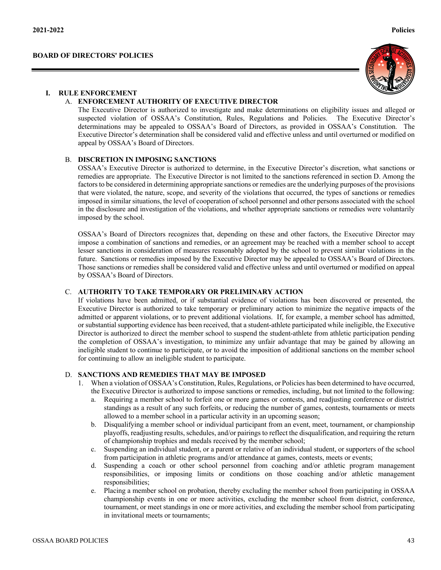



## **I. RULE ENFORCEMENT**

#### A. **ENFORCEMENT AUTHORITY OF EXECUTIVE DIRECTOR**

The Executive Director is authorized to investigate and make determinations on eligibility issues and alleged or suspected violation of OSSAA's Constitution, Rules, Regulations and Policies. The Executive Director's determinations may be appealed to OSSAA's Board of Directors, as provided in OSSAA's Constitution. The Executive Director's determination shall be considered valid and effective unless and until overturned or modified on appeal by OSSAA's Board of Directors.

### B. **DISCRETION IN IMPOSING SANCTIONS**

OSSAA's Executive Director is authorized to determine, in the Executive Director's discretion, what sanctions or remedies are appropriate. The Executive Director is not limited to the sanctions referenced in section D. Among the factors to be considered in determining appropriate sanctions or remedies are the underlying purposes of the provisions that were violated, the nature, scope, and severity of the violations that occurred, the types of sanctions or remedies imposed in similar situations, the level of cooperation of school personnel and other persons associated with the school in the disclosure and investigation of the violations, and whether appropriate sanctions or remedies were voluntarily imposed by the school.

OSSAA's Board of Directors recognizes that, depending on these and other factors, the Executive Director may impose a combination of sanctions and remedies, or an agreement may be reached with a member school to accept lesser sanctions in consideration of measures reasonably adopted by the school to prevent similar violations in the future. Sanctions or remedies imposed by the Executive Director may be appealed to OSSAA's Board of Directors. Those sanctions or remedies shall be considered valid and effective unless and until overturned or modified on appeal by OSSAA's Board of Directors.

#### C. **AUTHORITY TO TAKE TEMPORARY OR PRELIMINARY ACTION**

If violations have been admitted, or if substantial evidence of violations has been discovered or presented, the Executive Director is authorized to take temporary or preliminary action to minimize the negative impacts of the admitted or apparent violations, or to prevent additional violations. If, for example, a member school has admitted, or substantial supporting evidence has been received, that a student-athlete participated while ineligible, the Executive Director is authorized to direct the member school to suspend the student-athlete from athletic participation pending the completion of OSSAA's investigation, to minimize any unfair advantage that may be gained by allowing an ineligible student to continue to participate, or to avoid the imposition of additional sanctions on the member school for continuing to allow an ineligible student to participate.

# D. **SANCTIONS AND REMEDIES THAT MAY BE IMPOSED**

- 1. When a violation of OSSAA's Constitution, Rules, Regulations, or Policies has been determined to have occurred, the Executive Director is authorized to impose sanctions or remedies, including, but not limited to the following:
	- a. Requiring a member school to forfeit one or more games or contests, and readjusting conference or district standings as a result of any such forfeits, or reducing the number of games, contests, tournaments or meets allowed to a member school in a particular activity in an upcoming season;
	- b. Disqualifying a member school or individual participant from an event, meet, tournament, or championship playoffs, readjusting results, schedules, and/or pairings to reflect the disqualification, and requiring the return of championship trophies and medals received by the member school;
	- c. Suspending an individual student, or a parent or relative of an individual student, or supporters of the school from participation in athletic programs and/or attendance at games, contests, meets or events;
	- d. Suspending a coach or other school personnel from coaching and/or athletic program management responsibilities, or imposing limits or conditions on those coaching and/or athletic management responsibilities;
	- e. Placing a member school on probation, thereby excluding the member school from participating in OSSAA championship events in one or more activities, excluding the member school from district, conference, tournament, or meet standings in one or more activities, and excluding the member school from participating in invitational meets or tournaments;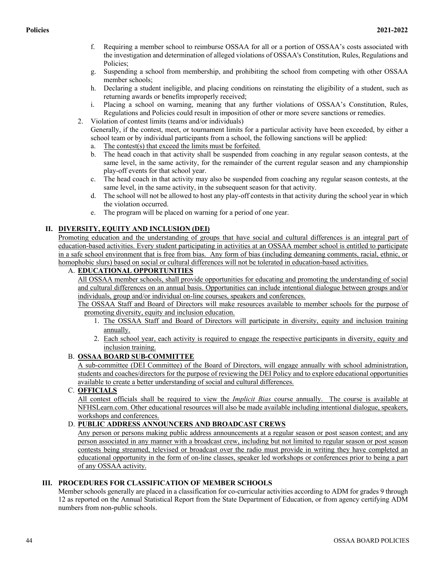- f. Requiring a member school to reimburse OSSAA for all or a portion of OSSAA's costs associated with the investigation and determination of alleged violations of OSSAA's Constitution, Rules, Regulations and Policies;
- g. Suspending a school from membership, and prohibiting the school from competing with other OSSAA member schools;
- h. Declaring a student ineligible, and placing conditions on reinstating the eligibility of a student, such as returning awards or benefits improperly received;
- i. Placing a school on warning, meaning that any further violations of OSSAA's Constitution, Rules, Regulations and Policies could result in imposition of other or more severe sanctions or remedies.
- 2. Violation of contest limits (teams and/or individuals)

Generally, if the contest, meet, or tournament limits for a particular activity have been exceeded, by either a school team or by individual participants from a school, the following sanctions will be applied:

- a. The contest(s) that exceed the limits must be forfeited.
- b. The head coach in that activity shall be suspended from coaching in any regular season contests, at the same level, in the same activity, for the remainder of the current regular season and any championship play-off events for that school year.
- c. The head coach in that activity may also be suspended from coaching any regular season contests, at the same level, in the same activity, in the subsequent season for that activity.
- d. The school will not be allowed to host any play-off contests in that activity during the school year in which the violation occurred.
- e. The program will be placed on warning for a period of one year.

# **II. DIVERSITY, EQUITY AND INCLUSION (DEI)**

Promoting education and the understanding of groups that have social and cultural differences is an integral part of education-based activities. Every student participating in activities at an OSSAA member school is entitled to participate in a safe school environment that is free from bias. Any form of bias (including demeaning comments, racial, ethnic, or homophobic slurs) based on social or cultural differences will not be tolerated in education-based activities.

# A. **EDUCATIONAL OPPORTUNITIES**

All OSSAA member schools, shall provide opportunities for educating and promoting the understanding of social and cultural differences on an annual basis. Opportunities can include intentional dialogue between groups and/or individuals, group and/or individual on-line courses, speakers and conferences.

The OSSAA Staff and Board of Directors will make resources available to member schools for the purpose of promoting diversity, equity and inclusion education.

- 1. The OSSAA Staff and Board of Directors will participate in diversity, equity and inclusion training annually.
- 2. Each school year, each activity is required to engage the respective participants in diversity, equity and inclusion training.

# B. **OSSAA BOARD SUB-COMMITTEE**

A sub-committee (DEI Committee) of the Board of Directors, will engage annually with school administration, students and coaches/directors for the purpose of reviewing the DEI Policy and to explore educational opportunities available to create a better understanding of social and cultural differences.

# C. **OFFICIALS**

All contest officials shall be required to view the *Implicit Bias* course annually. The course is available at NFHSLearn.com. Other educational resources will also be made available including intentional dialogue, speakers, workshops and conferences.

# D. **PUBLIC ADDRESS ANNOUNCERS AND BROADCAST CREWS**

Any person or persons making public address announcements at a regular season or post season contest; and any person associated in any manner with a broadcast crew, including but not limited to regular season or post season contests being streamed, televised or broadcast over the radio must provide in writing they have completed an educational opportunity in the form of on-line classes, speaker led workshops or conferences prior to being a part of any OSSAA activity.

# **III. PROCEDURES FOR CLASSIFICATION OF MEMBER SCHOOLS**

Member schools generally are placed in a classification for co-curricular activities according to ADM for grades 9 through 12 as reported on the Annual Statistical Report from the State Department of Education, or from agency certifying ADM numbers from non-public schools.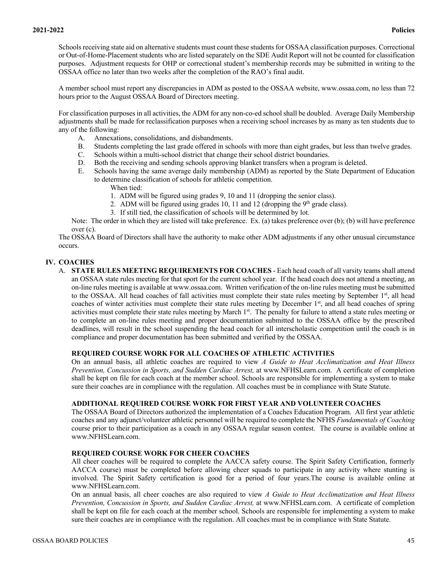Schools receiving state aid on alternative students must count these students for OSSAA classification purposes. Correctional or Out-of-Home-Placement students who are listed separately on the SDE Audit Report will not be counted for classification purposes. Adjustment requests for OHP or correctional student's membership records may be submitted in writing to the OSSAA office no later than two weeks after the completion of the RAO's final audit.

A member school must report any discrepancies in ADM as posted to the OSSAA website, www.ossaa.com, no less than 72 hours prior to the August OSSAA Board of Directors meeting.

For classification purposes in all activities, the ADM for any non-co-ed school shall be doubled. Average Daily Membership adjustments shall be made for reclassification purposes when a receiving school increases by as many as ten students due to any of the following:

- A. Annexations, consolidations, and disbandments.
- B. Students completing the last grade offered in schools with more than eight grades, but less than twelve grades.
- C. Schools within a multi-school district that change their school district boundaries.
- D. Both the receiving and sending schools approving blanket transfers when a program is deleted.
- E. Schools having the same average daily membership (ADM) as reported by the State Department of Education to determine classification of schools for athletic competition.
	- When tied:
	- 1. ADM will be figured using grades 9, 10 and 11 (dropping the senior class).
	- 2. ADM will be figured using grades 10, 11 and 12 (dropping the  $9<sup>th</sup>$  grade class).
	- 3. If still tied, the classification of schools will be determined by lot.

Note: The order in which they are listed will take preference. Ex. (a) takes preference over (b); (b) will have preference over (c).

The OSSAA Board of Directors shall have the authority to make other ADM adjustments if any other unusual circumstance occurs.

# **IV. COACHES**

A. **STATE RULES MEETING REQUIREMENTS FOR COACHES** - Each head coach of all varsity teams shall attend an OSSAA state rules meeting for that sport for the current school year. If the head coach does not attend a meeting, an on-line rules meeting is available at www.ossaa.com. Written verification of the on-line rules meeting must be submitted to the OSSAA. All head coaches of fall activities must complete their state rules meeting by September  $1<sup>st</sup>$ , all head coaches of winter activities must complete their state rules meeting by December  $1<sup>st</sup>$ , and all head coaches of spring activities must complete their state rules meeting by March 1<sup>st</sup>. The penalty for failure to attend a state rules meeting or to complete an on-line rules meeting and proper documentation submitted to the OSSAA office by the prescribed deadlines, will result in the school suspending the head coach for all interscholastic competition until the coach is in compliance and proper documentation has been submitted and verified by the OSSAA.

# **REQUIRED COURSE WORK FOR ALL COACHES OF ATHLETIC ACTIVITIES**

On an annual basis, all athletic coaches are required to view *A Guide to Heat Acclimatization and Heat Illness Prevention, Concussion in Sports, and Sudden Cardiac Arrest,* at www.NFHSLearn.com. A certificate of completion shall be kept on file for each coach at the member school. Schools are responsible for implementing a system to make sure their coaches are in compliance with the regulation. All coaches must be in compliance with State Statute.

# **ADDITIONAL REQUIRED COURSE WORK FOR FIRST YEAR AND VOLUNTEER COACHES**

The OSSAA Board of Directors authorized the implementation of a Coaches Education Program. All first year athletic coaches and any adjunct/volunteer athletic personnel will be required to complete the NFHS *Fundamentals of Coaching* course prior to their participation as a coach in any OSSAA regular season contest. The course is available online at www.NFHSLearn.com.

#### **REQUIRED COURSE WORK FOR CHEER COACHES**

All cheer coaches will be required to complete the AACCA safety course. The Spirit Safety Certification, formerly AACCA course) must be completed before allowing cheer squads to participate in any activity where stunting is involved. The Spirit Safety certification is good for a period of four years.The course is available online at www.NFHSLearn.com.

On an annual basis, all cheer coaches are also required to view *A Guide to Heat Acclimatization and Heat Illness Prevention, Concussion in Sports, and Sudden Cardiac Arrest,* at www.NFHSLearn.com. A certificate of completion shall be kept on file for each coach at the member school. Schools are responsible for implementing a system to make sure their coaches are in compliance with the regulation. All coaches must be in compliance with State Statute.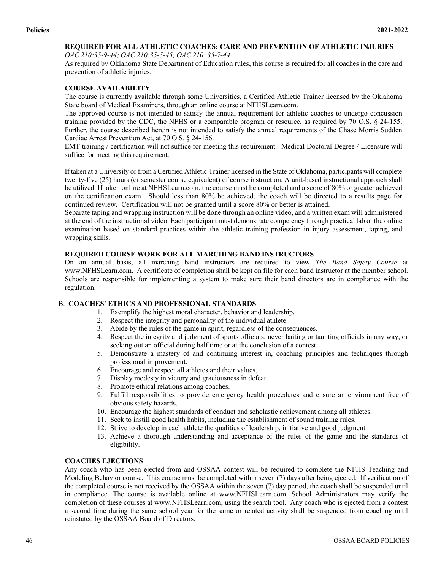# **REQUIRED FOR ALL ATHLETIC COACHES: CARE AND PREVENTION OF ATHLETIC INJURIES**

*OAC 210:35-9-44; OAC 210:35-5-45; OAC 210: 35-7-44*

As required by Oklahoma State Department of Education rules, this course is required for all coaches in the care and prevention of athletic injuries.

# **COURSE AVAILABILITY**

The course is currently available through some Universities, a Certified Athletic Trainer licensed by the Oklahoma State board of Medical Examiners, through an online course at NFHSLearn.com.

The approved course is not intended to satisfy the annual requirement for athletic coaches to undergo concussion training provided by the CDC, the NFHS or a comparable program or resource, as required by 70 O.S. § 24-155. Further, the course described herein is not intended to satisfy the annual requirements of the Chase Morris Sudden Cardiac Arrest Prevention Act, at 70 O.S. § 24-156.

EMT training / certification will not suffice for meeting this requirement. Medical Doctoral Degree / Licensure will suffice for meeting this requirement.

If taken at a University or from a Certified Athletic Trainer licensed in the State of Oklahoma, participants will complete twenty-five (25) hours (or semester course equivalent) of course instruction. A unit-based instructional approach shall be utilized. If taken online at NFHSLearn.com, the course must be completed and a score of 80% or greater achieved on the certification exam. Should less than 80% be achieved, the coach will be directed to a results page for continued review. Certification will not be granted until a score 80% or better is attained.

Separate taping and wrapping instruction will be done through an online video, and a written exam will administered at the end of the instructional video. Each participant must demonstrate competency through practical lab or the online examination based on standard practices within the athletic training profession in injury assessment, taping, and wrapping skills.

# **REQUIRED COURSE WORK FOR ALL MARCHING BAND INSTRUCTORS**

On an annual basis, all marching band instructors are required to view *The Band Safety Course* at www.NFHSLearn.com. A certificate of completion shall be kept on file for each band instructor at the member school. Schools are responsible for implementing a system to make sure their band directors are in compliance with the regulation.

# B. **COACHES' ETHICS AND PROFESSIONAL STANDARDS**

- 1. Exemplify the highest moral character, behavior and leadership.
- 2. Respect the integrity and personality of the individual athlete.
- 3. Abide by the rules of the game in spirit, regardless of the consequences.
- 4. Respect the integrity and judgment of sports officials, never baiting or taunting officials in any way, or seeking out an official during half time or at the conclusion of a contest.
- 5. Demonstrate a mastery of and continuing interest in, coaching principles and techniques through professional improvement.
- 6. Encourage and respect all athletes and their values.
- 7. Display modesty in victory and graciousness in defeat.
- 8. Promote ethical relations among coaches.
- 9. Fulfill responsibilities to provide emergency health procedures and ensure an environment free of obvious safety hazards.
- 10. Encourage the highest standards of conduct and scholastic achievement among all athletes.
- 11. Seek to instill good health habits, including the establishment of sound training rules.
- 12. Strive to develop in each athlete the qualities of leadership, initiative and good judgment.
- 13. Achieve a thorough understanding and acceptance of the rules of the game and the standards of eligibility.

# **COACHES EJECTIONS**

Any coach who has been ejected from and OSSAA contest will be required to complete the NFHS Teaching and Modeling Behavior course. This course must be completed within seven (7) days after being ejected. If verification of the completed course is not received by the OSSAA within the seven (7) day period, the coach shall be suspended until in compliance. The course is available online at www.NFHSLearn.com. School Administrators may verify the completion of these courses at www.NFHSLearn.com, using the search tool. Any coach who is ejected from a contest a second time during the same school year for the same or related activity shall be suspended from coaching until reinstated by the OSSAA Board of Directors.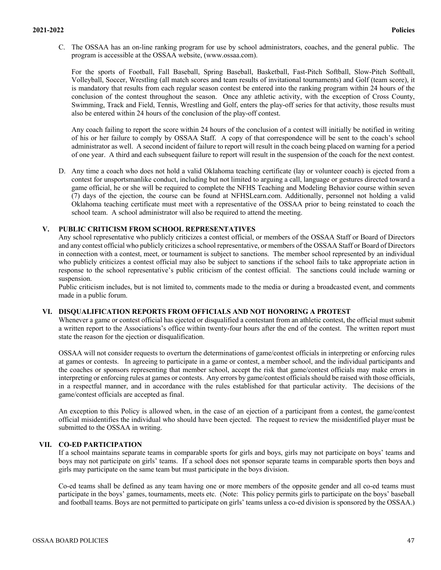C. The OSSAA has an on-line ranking program for use by school administrators, coaches, and the general public. The program is accessible at the OSSAA website, (www.ossaa.com).

For the sports of Football, Fall Baseball, Spring Baseball, Basketball, Fast-Pitch Softball, Slow-Pitch Softball, Volleyball, Soccer, Wrestling (all match scores and team results of invitational tournaments) and Golf (team score), it is mandatory that results from each regular season contest be entered into the ranking program within 24 hours of the conclusion of the contest throughout the season. Once any athletic activity, with the exception of Cross County, Swimming, Track and Field, Tennis, Wrestling and Golf, enters the play-off series for that activity, those results must also be entered within 24 hours of the conclusion of the play-off contest.

Any coach failing to report the score within 24 hours of the conclusion of a contest will initially be notified in writing of his or her failure to comply by OSSAA Staff. A copy of that correspondence will be sent to the coach's school administrator as well. A second incident of failure to report will result in the coach being placed on warning for a period of one year. A third and each subsequent failure to report will result in the suspension of the coach for the next contest.

D. Any time a coach who does not hold a valid Oklahoma teaching certificate (lay or volunteer coach) is ejected from a contest for unsportsmanlike conduct, including but not limited to arguing a call, language or gestures directed toward a game official, he or she will be required to complete the NFHS Teaching and Modeling Behavior course within seven (7) days of the ejection, the course can be found at NFHSLearn.com. Additionally, personnel not holding a valid Oklahoma teaching certificate must meet with a representative of the OSSAA prior to being reinstated to coach the school team. A school administrator will also be required to attend the meeting.

## **V. PUBLIC CRITICISM FROM SCHOOL REPRESENTATIVES**

Any school representative who publicly criticizes a contest official, or members of the OSSAA Staff or Board of Directors and any contest official who publicly criticizes a school representative, or members of the OSSAA Staff or Board of Directors in connection with a contest, meet, or tournament is subject to sanctions. The member school represented by an individual who publicly criticizes a contest official may also be subject to sanctions if the school fails to take appropriate action in response to the school representative's public criticism of the contest official. The sanctions could include warning or suspension.

Public criticism includes, but is not limited to, comments made to the media or during a broadcasted event, and comments made in a public forum.

#### **VI. DISQUALIFICATION REPORTS FROM OFFICIALS AND NOT HONORING A PROTEST**

Whenever a game or contest official has ejected or disqualified a contestant from an athletic contest, the official must submit a written report to the Associations's office within twenty-four hours after the end of the contest. The written report must state the reason for the ejection or disqualification.

OSSAA will not consider requests to overturn the determinations of game/contest officials in interpreting or enforcing rules at games or contests. In agreeing to participate in a game or contest, a member school, and the individual participants and the coaches or sponsors representing that member school, accept the risk that game/contest officials may make errors in interpreting or enforcing rules at games or contests. Any errors by game/contest officials should be raised with those officials, in a respectful manner, and in accordance with the rules established for that particular activity. The decisions of the game/contest officials are accepted as final.

An exception to this Policy is allowed when, in the case of an ejection of a participant from a contest, the game/contest official misidentifies the individual who should have been ejected. The request to review the misidentified player must be submitted to the OSSAA in writing.

# **VII. CO-ED PARTICIPATION**

If a school maintains separate teams in comparable sports for girls and boys, girls may not participate on boys' teams and boys may not participate on girls' teams. If a school does not sponsor separate teams in comparable sports then boys and girls may participate on the same team but must participate in the boys division.

Co-ed teams shall be defined as any team having one or more members of the opposite gender and all co-ed teams must participate in the boys' games, tournaments, meets etc. (Note: This policy permits girls to participate on the boys' baseball and football teams. Boys are not permitted to participate on girls' teams unless a co-ed division is sponsored by the OSSAA.)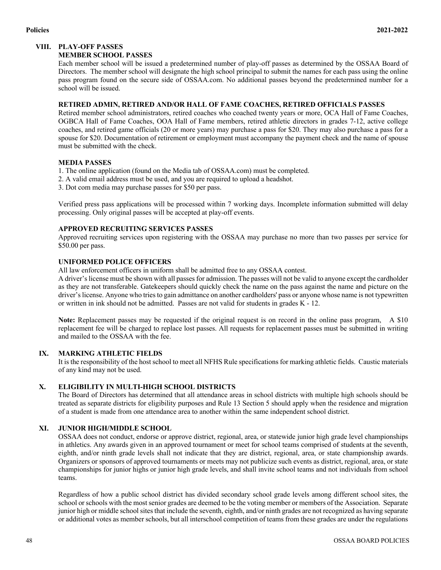# **VIII. PLAY-OFF PASSES**

## **MEMBER SCHOOL PASSES**

Each member school will be issued a predetermined number of play-off passes as determined by the OSSAA Board of Directors. The member school will designate the high school principal to submit the names for each pass using the online pass program found on the secure side of OSSAA.com. No additional passes beyond the predetermined number for a school will be issued.

# **RETIRED ADMIN, RETIRED AND/OR HALL OF FAME COACHES, RETIRED OFFICIALS PASSES**

Retired member school administrators, retired coaches who coached twenty years or more, OCA Hall of Fame Coaches, OGBCA Hall of Fame Coaches, OOA Hall of Fame members, retired athletic directors in grades 7-12, active college coaches, and retired game officials (20 or more years) may purchase a pass for \$20. They may also purchase a pass for a spouse for \$20. Documentation of retirement or employment must accompany the payment check and the name of spouse must be submitted with the check.

# **MEDIA PASSES**

- 1. The online application (found on the Media tab of OSSAA.com) must be completed.
- 2. A valid email address must be used, and you are required to upload a headshot.
- 3. Dot com media may purchase passes for \$50 per pass.

Verified press pass applications will be processed within 7 working days. Incomplete information submitted will delay processing. Only original passes will be accepted at play-off events.

### **APPROVED RECRUITING SERVICES PASSES**

Approved recruiting services upon registering with the OSSAA may purchase no more than two passes per service for \$50.00 per pass.

# **UNIFORMED POLICE OFFICERS**

All law enforcement officers in uniform shall be admitted free to any OSSAA contest.

A driver's license must be shown with all passes for admission. The passes will not be valid to anyone except the cardholder as they are not transferable. Gatekeepers should quickly check the name on the pass against the name and picture on the driver's license. Anyone who tries to gain admittance on another cardholders' pass or anyone whose name is not typewritten or written in ink should not be admitted. Passes are not valid for students in grades K - 12.

**Note:** Replacement passes may be requested if the original request is on record in the online pass program, A \$10 replacement fee will be charged to replace lost passes. All requests for replacement passes must be submitted in writing and mailed to the OSSAA with the fee.

# **IX. MARKING ATHLETIC FIELDS**

It is the responsibility of the host school to meet all NFHS Rule specifications for marking athletic fields. Caustic materials of any kind may not be used.

# **X. ELIGIBILITY IN MULTI-HIGH SCHOOL DISTRICTS**

The Board of Directors has determined that all attendance areas in school districts with multiple high schools should be treated as separate districts for eligibility purposes and Rule 13 Section 5 should apply when the residence and migration of a student is made from one attendance area to another within the same independent school district.

# **XI. JUNIOR HIGH/MIDDLE SCHOOL**

OSSAA does not conduct, endorse or approve district, regional, area, or statewide junior high grade level championships in athletics. Any awards given in an approved tournament or meet for school teams comprised of students at the seventh, eighth, and/or ninth grade levels shall not indicate that they are district, regional, area, or state championship awards. Organizers or sponsors of approved tournaments or meets may not publicize such events as district, regional, area, or state championships for junior highs or junior high grade levels, and shall invite school teams and not individuals from school teams.

Regardless of how a public school district has divided secondary school grade levels among different school sites, the school or schools with the most senior grades are deemed to be the voting member or members of the Association. Separate junior high or middle school sites that include the seventh, eighth, and/or ninth grades are not recognized as having separate or additional votes as member schools, but all interschool competition of teams from these grades are under the regulations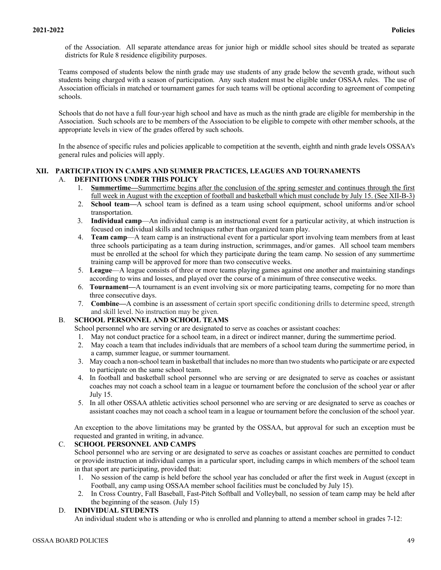of the Association. All separate attendance areas for junior high or middle school sites should be treated as separate districts for Rule 8 residence eligibility purposes.

Teams composed of students below the ninth grade may use students of any grade below the seventh grade, without such students being charged with a season of participation. Any such student must be eligible under OSSAA rules. The use of Association officials in matched or tournament games for such teams will be optional according to agreement of competing schools.

Schools that do not have a full four-year high school and have as much as the ninth grade are eligible for membership in the Association. Such schools are to be members of the Association to be eligible to compete with other member schools, at the appropriate levels in view of the grades offered by such schools.

In the absence of specific rules and policies applicable to competition at the seventh, eighth and ninth grade levels OSSAA's general rules and policies will apply.

## **XII. PARTICIPATION IN CAMPS AND SUMMER PRACTICES, LEAGUES AND TOURNAMENTS**  A. **DEFINITIONS UNDER THIS POLICY**

- 1. **Summertime—**Summertime begins after the conclusion of the spring semester and continues through the first full week in August with the exception of football and basketball which must conclude by July 15. (See XII-B-3)
- 2. **School team—**A school team is defined as a team using school equipment, school uniforms and/or school transportation.
- 3. **Individual camp**—An individual camp is an instructional event for a particular activity, at which instruction is focused on individual skills and techniques rather than organized team play.
- 4. **Team camp**—A team camp is an instructional event for a particular sport involving team members from at least three schools participating as a team during instruction, scrimmages, and/or games. All school team members must be enrolled at the school for which they participate during the team camp. No session of any summertime training camp will be approved for more than two consecutive weeks.
- 5. **League**—A league consists of three or more teams playing games against one another and maintaining standings according to wins and losses, and played over the course of a minimum of three consecutive weeks.
- 6. **Tournament—**A tournament is an event involving six or more participating teams, competing for no more than three consecutive days.
- 7. **Combine—**A combine is an assessment of certain sport specific conditioning drills to determine speed, strength and skill level. No instruction may be given.

# B. **SCHOOL PERSONNEL AND SCHOOL TEAMS**

- School personnel who are serving or are designated to serve as coaches or assistant coaches:
- 1. May not conduct practice for a school team, in a direct or indirect manner, during the summertime period.
- 2. May coach a team that includes individuals that are members of a school team during the summertime period, in a camp, summer league, or summer tournament.
- 3. May coach a non-school team in basketball that includes no more than two students who participate or are expected to participate on the same school team.
- 4. In football and basketball school personnel who are serving or are designated to serve as coaches or assistant coaches may not coach a school team in a league or tournament before the conclusion of the school year or after July 15.
- 5. In all other OSSAA athletic activities school personnel who are serving or are designated to serve as coaches or assistant coaches may not coach a school team in a league or tournament before the conclusion of the school year.

An exception to the above limitations may be granted by the OSSAA, but approval for such an exception must be requested and granted in writing, in advance.

# C. **SCHOOL PERSONNEL AND CAMPS**

School personnel who are serving or are designated to serve as coaches or assistant coaches are permitted to conduct or provide instruction at individual camps in a particular sport, including camps in which members of the school team in that sport are participating, provided that:

- 1. No session of the camp is held before the school year has concluded or after the first week in August (except in Football, any camp using OSSAA member school facilities must be concluded by July 15).
- 2. In Cross Country, Fall Baseball, Fast-Pitch Softball and Volleyball, no session of team camp may be held after the beginning of the season. (July 15)

# D. **INDIVIDUAL STUDENTS**

An individual student who is attending or who is enrolled and planning to attend a member school in grades 7-12: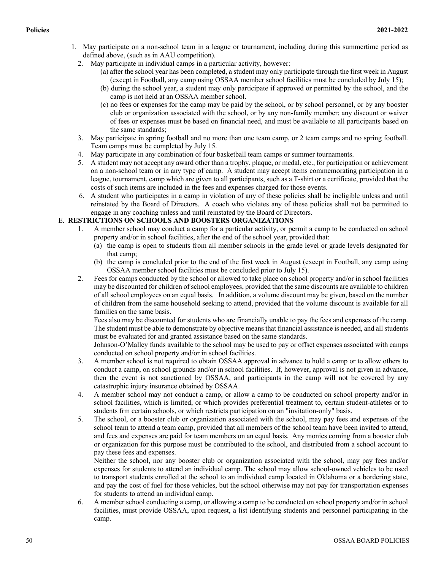- 1. May participate on a non-school team in a league or tournament, including during this summertime period as defined above, (such as in AAU competition).
	- 2. May participate in individual camps in a particular activity, however:
		- (a) after the school year has been completed, a student may only participate through the first week in August (except in Football, any camp using OSSAA member school facilities must be concluded by July 15);
		- (b) during the school year, a student may only participate if approved or permitted by the school, and the camp is not held at an OSSAA member school.
		- (c) no fees or expenses for the camp may be paid by the school, or by school personnel, or by any booster club or organization associated with the school, or by any non-family member; any discount or waiver of fees or expenses must be based on financial need, and must be available to all participants based on the same standards;
	- 3. May participate in spring football and no more than one team camp, or 2 team camps and no spring football. Team camps must be completed by July 15.
	- 4. May participate in any combination of four basketball team camps or summer tournaments.
	- 5. A student may not accept any award other than a trophy, plaque, or medal, etc., for participation or achievement on a non-school team or in any type of camp. A student may accept items commemorating participation in a league, tournament, camp which are given to all participants, such as a T-shirt or a certificate, provided that the costs of such items are included in the fees and expenses charged for those events.
	- 6. A student who participates in a camp in violation of any of these policies shall be ineligible unless and until reinstated by the Board of Directors. A coach who violates any of these policies shall not be permitted to engage in any coaching unless and until reinstated by the Board of Directors.

# E. **RESTRICTIONS ON SCHOOLS AND BOOSTERS ORGANIZATIONS**

- 1. A member school may conduct a camp for a particular activity, or permit a camp to be conducted on school property and/or in school facilities, after the end of the school year, provided that:
	- (a) the camp is open to students from all member schools in the grade level or grade levels designated for that camp;
	- (b) the camp is concluded prior to the end of the first week in August (except in Football, any camp using OSSAA member school facilities must be concluded prior to July 15).
- 2. Fees for camps conducted by the school or allowed to take place on school property and/or in school facilities may be discounted for children of school employees, provided that the same discounts are available to children of all school employees on an equal basis. In addition, a volume discount may be given, based on the number of children from the same household seeking to attend, provided that the volume discount is available for all families on the same basis.

Fees also may be discounted for students who are financially unable to pay the fees and expenses of the camp. The student must be able to demonstrate by objective means that financial assistance is needed, and all students must be evaluated for and granted assistance based on the same standards.

Johnson-O'Malley funds available to the school may be used to pay or offset expenses associated with camps conducted on school property and/or in school facilities.

- 3. A member school is not required to obtain OSSAA approval in advance to hold a camp or to allow others to conduct a camp, on school grounds and/or in school facilities. If, however, approval is not given in advance, then the event is not sanctioned by OSSAA, and participants in the camp will not be covered by any catastrophic injury insurance obtained by OSSAA.
- 4. A member school may not conduct a camp, or allow a camp to be conducted on school property and/or in school facilities, which is limited, or which provides preferential treatment to, certain student-athletes or to students frm certain schools, or which restricts participation on an "invitation-only" basis.
- 5. The school, or a booster club or organization associated with the school, may pay fees and expenses of the school team to attend a team camp, provided that all members of the school team have been invited to attend, and fees and expenses are paid for team members on an equal basis. Any monies coming from a booster club or organization for this purpose must be contributed to the school, and distributed from a school account to pay these fees and expenses.

Neither the school, nor any booster club or organization associated with the school, may pay fees and/or expenses for students to attend an individual camp. The school may allow school-owned vehicles to be used to transport students enrolled at the school to an individual camp located in Oklahoma or a bordering state, and pay the cost of fuel for those vehicles, but the school otherwise may not pay for transportation expenses for students to attend an individual camp.

6. A member school conducting a camp, or allowing a camp to be conducted on school property and/or in school facilities, must provide OSSAA, upon request, a list identifying students and personnel participating in the camp.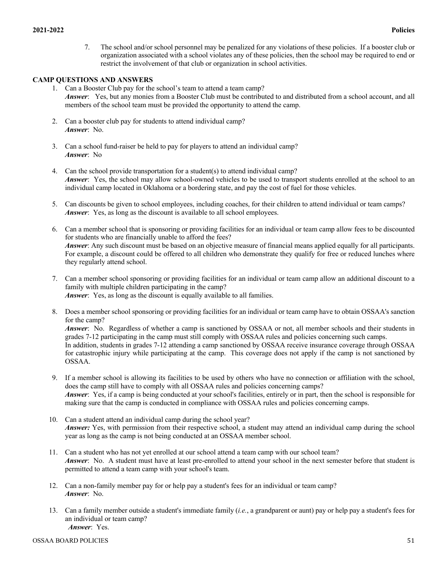7. The school and/or school personnel may be penalized for any violations of these policies. If a booster club or organization associated with a school violates any of these policies, then the school may be required to end or restrict the involvement of that club or organization in school activities.

# **CAMP QUESTIONS AND ANSWERS**

- 1. Can a Booster Club pay for the school's team to attend a team camp? *Answer*: Yes, but any monies from a Booster Club must be contributed to and distributed from a school account, and all members of the school team must be provided the opportunity to attend the camp.
- 2. Can a booster club pay for students to attend individual camp? *Answer*: No.
- 3. Can a school fund-raiser be held to pay for players to attend an individual camp? *Answer*: No
- 4. Can the school provide transportation for a student(s) to attend individual camp? *Answer*: Yes, the school may allow school-owned vehicles to be used to transport students enrolled at the school to an individual camp located in Oklahoma or a bordering state, and pay the cost of fuel for those vehicles.
- 5. Can discounts be given to school employees, including coaches, for their children to attend individual or team camps? *Answer*: Yes, as long as the discount is available to all school employees.
- 6. Can a member school that is sponsoring or providing facilities for an individual or team camp allow fees to be discounted for students who are financially unable to afford the fees? *Answer*: Any such discount must be based on an objective measure of financial means applied equally for all participants. For example, a discount could be offered to all children who demonstrate they qualify for free or reduced lunches where they regularly attend school.
- 7. Can a member school sponsoring or providing facilities for an individual or team camp allow an additional discount to a family with multiple children participating in the camp? *Answer*: Yes, as long as the discount is equally available to all families.
- 8. Does a member school sponsoring or providing facilities for an individual or team camp have to obtain OSSAA's sanction for the camp?

*Answer*: No. Regardless of whether a camp is sanctioned by OSSAA or not, all member schools and their students in grades 7-12 participating in the camp must still comply with OSSAA rules and policies concerning such camps. In addition, students in grades 7-12 attending a camp sanctioned by OSSAA receive insurance coverage through OSSAA for catastrophic injury while participating at the camp. This coverage does not apply if the camp is not sanctioned by OSSAA.

- 9. If a member school is allowing its facilities to be used by others who have no connection or affiliation with the school, does the camp still have to comply with all OSSAA rules and policies concerning camps? *Answer*: Yes, if a camp is being conducted at your school's facilities, entirely or in part, then the school is responsible for making sure that the camp is conducted in compliance with OSSAA rules and policies concerning camps.
- 10. Can a student attend an individual camp during the school year? *Answer:* Yes, with permission from their respective school, a student may attend an individual camp during the school year as long as the camp is not being conducted at an OSSAA member school.
- 11. Can a student who has not yet enrolled at our school attend a team camp with our school team? *Answer*: No. A student must have at least pre-enrolled to attend your school in the next semester before that student is permitted to attend a team camp with your school's team.
- 12. Can a non-family member pay for or help pay a student's fees for an individual or team camp? *Answer*: No.
- 13. Can a family member outside a student's immediate family (*i.e.*, a grandparent or aunt) pay or help pay a student's fees for an individual or team camp? *Answer*: Yes.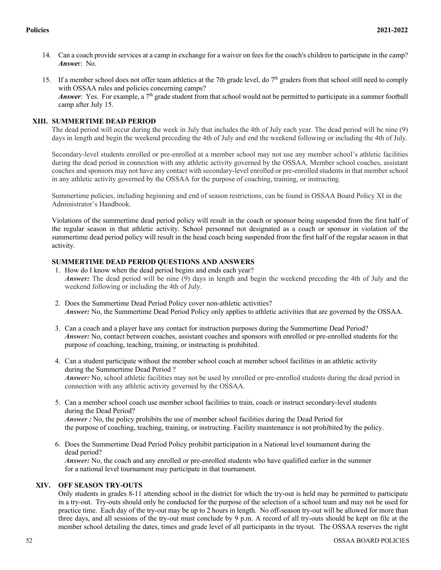- 14. Can a coach provide services at a camp in exchange for a waiver on fees for the coach's children to participate in the camp? *Answe*r: No.
- 15. If a member school does not offer team athletics at the 7th grade level, do  $7<sup>th</sup>$  graders from that school still need to comply with OSSAA rules and policies concerning camps? *Answer*: Yes. For example, a 7<sup>th</sup> grade student from that school would not be permitted to participate in a summer football camp after July 15.

# **XIII. SUMMERTIME DEAD PERIOD**

The dead period will occur during the week in July that includes the 4th of July each year. The dead period will be nine (9) days in length and begin the weekend preceding the 4th of July and end the weekend following or including the 4th of July.

Secondary-level students enrolled or pre-enrolled at a member school may not use any member school's athletic facilities during the dead period in connection with any athletic activity governed by the OSSAA. Member school coaches, assistant coaches and sponsors may not have any contact with secondary-level enrolled or pre-enrolled students in that member school in any athletic activity governed by the OSSAA for the purpose of coaching, training, or instructing.

Summertime policies, including beginning and end of season restrictions, can be found in OSSAA Board Policy XI in the Administrator's Handbook.

Violations of the summertime dead period policy will result in the coach or sponsor being suspended from the first half of the regular season in that athletic activity. School personnel not designated as a coach or sponsor in violation of the summertime dead period policy will result in the head coach being suspended from the first half of the regular season in that activity.

# **SUMMERTIME DEAD PERIOD QUESTIONS AND ANSWERS**

- 1. How do I know when the dead period begins and ends each year? *Answer:* The dead period will be nine (9) days in length and begin the weekend preceding the 4th of July and the weekend following or including the 4th of July.
- 2. Does the Summertime Dead Period Policy cover non-athletic activities? *Answer:* No, the Summertime Dead Period Policy only applies to athletic activities that are governed by the OSSAA.
- 3. Can a coach and a player have any contact for instruction purposes during the Summertime Dead Period? *Answer:* No, contact between coaches, assistant coaches and sponsors with enrolled or pre-enrolled students for the purpose of coaching, teaching, training, or instructing is prohibited.
- 4. Can a student participate without the member school coach at member school facilities in an athletic activity during the Summertime Dead Period ? *Answer*: No, school athletic facilities may not be used by enrolled or pre-enrolled students during the dead period in connection with any athletic activity governed by the OSSAA.
- 5. Can a member school coach use member school facilities to train, coach or instruct secondary-level students during the Dead Period? *Answer :* No, the policy prohibits the use of member school facilities during the Dead Period for the purpose of coaching, teaching, training, or instructing. Facility maintenance is not prohibited by the policy.
- 6. Does the Summertime Dead Period Policy prohibit participation in a National level tournament during the dead period? *Answer:* No, the coach and any enrolled or pre-enrolled students who have qualified earlier in the summer for a national level tournament may participate in that tournament.

# **XIV. OFF SEASON TRY-OUTS**

Only students in grades 8-11 attending school in the district for which the try-out is held may be permitted to participate in a try-out. Try-outs should only be conducted for the purpose of the selection of a school team and may not be used for practice time. Each day of the try-out may be up to 2 hours in length. No off-season try-out will be allowed for more than three days, and all sessions of the try-out must conclude by 9 p.m. A record of all try-outs should be kept on file at the member school detailing the dates, times and grade level of all participants in the tryout. The OSSAA reserves the right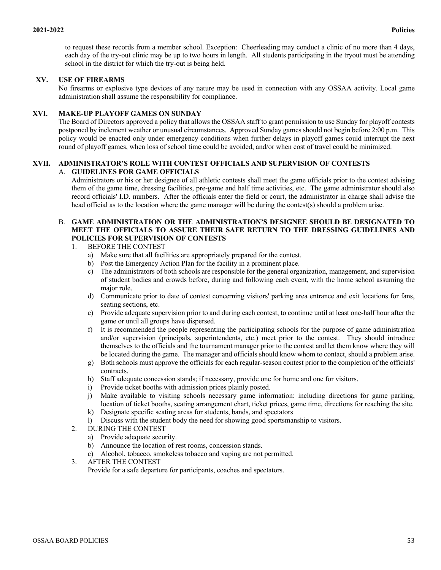to request these records from a member school. Exception: Cheerleading may conduct a clinic of no more than 4 days, each day of the try-out clinic may be up to two hours in length. All students participating in the tryout must be attending school in the district for which the try-out is being held.

# **XV. USE OF FIREARMS**

No firearms or explosive type devices of any nature may be used in connection with any OSSAA activity. Local game administration shall assume the responsibility for compliance.

## **XVI. MAKE-UP PLAYOFF GAMES ON SUNDAY**

The Board of Directors approved a policy that allows the OSSAA staff to grant permission to use Sunday for playoff contests postponed by inclement weather or unusual circumstances. Approved Sunday games should not begin before 2:00 p.m. This policy would be enacted only under emergency conditions when further delays in playoff games could interrupt the next round of playoff games, when loss of school time could be avoided, and/or when cost of travel could be minimized.

#### **XVII. ADMINISTRATOR'S ROLE WITH CONTEST OFFICIALS AND SUPERVISION OF CONTESTS** A. **GUIDELINES FOR GAME OFFICIALS**

Administrators or his or her designee of all athletic contests shall meet the game officials prior to the contest advising them of the game time, dressing facilities, pre-game and half time activities, etc. The game administrator should also record officials' I.D. numbers. After the officials enter the field or court, the administrator in charge shall advise the head official as to the location where the game manager will be during the contest(s) should a problem arise.

# B. **GAME ADMINISTRATION OR THE ADMINISTRATION'S DESIGNEE SHOULD BE DESIGNATED TO MEET THE OFFICIALS TO ASSURE THEIR SAFE RETURN TO THE DRESSING GUIDELINES AND POLICIES FOR SUPERVISION OF CONTESTS**

### 1. BEFORE THE CONTEST

- a) Make sure that all facilities are appropriately prepared for the contest.
- b) Post the Emergency Action Plan for the facility in a prominent place.
- c) The administrators of both schools are responsible for the general organization, management, and supervision of student bodies and crowds before, during and following each event, with the home school assuming the major role.
- d) Communicate prior to date of contest concerning visitors' parking area entrance and exit locations for fans, seating sections, etc.
- e) Provide adequate supervision prior to and during each contest, to continue until at least one-half hour after the game or until all groups have dispersed.
- f) It is recommended the people representing the participating schools for the purpose of game administration and/or supervision (principals, superintendents, etc.) meet prior to the contest. They should introduce themselves to the officials and the tournament manager prior to the contest and let them know where they will be located during the game. The manager and officials should know whom to contact, should a problem arise.
- g) Both schools must approve the officials for each regular-season contest prior to the completion of the officials' contracts.
- h) Staff adequate concession stands; if necessary, provide one for home and one for visitors.
- i) Provide ticket booths with admission prices plainly posted.
- j) Make available to visiting schools necessary game information: including directions for game parking, location of ticket booths, seating arrangement chart, ticket prices, game time, directions for reaching the site.
- k) Designate specific seating areas for students, bands, and spectators
- l) Discuss with the student body the need for showing good sportsmanship to visitors.
- 2. DURING THE CONTEST
	- a) Provide adequate security.
	- b) Announce the location of rest rooms, concession stands.
	- c) Alcohol, tobacco, smokeless tobacco and vaping are not permitted.
- 3. AFTER THE CONTEST Provide for a safe departure for participants, coaches and spectators.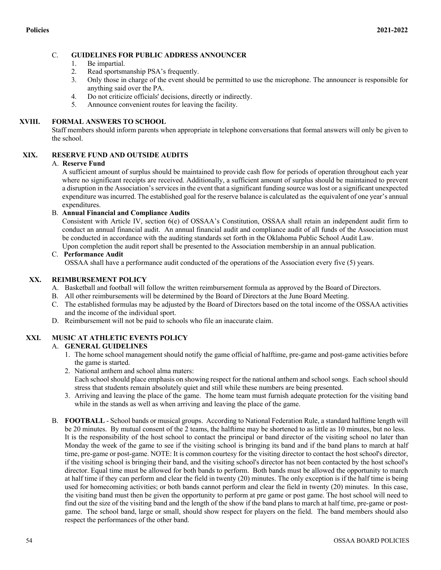# C. **GUIDELINES FOR PUBLIC ADDRESS ANNOUNCER**

- 1. Be impartial.
- 2. Read sportsmanship PSA's frequently.
- 3. Only those in charge of the event should be permitted to use the microphone. The announcer is responsible for anything said over the PA.
- 4. Do not criticize officials' decisions, directly or indirectly.
- 5. Announce convenient routes for leaving the facility.

### **XVIII. FORMAL ANSWERS TO SCHOOL**

Staff members should inform parents when appropriate in telephone conversations that formal answers will only be given to the school.

# **XIX. RESERVE FUND AND OUTSIDE AUDITS**

### A. **Reserve Fund**

A sufficient amount of surplus should be maintained to provide cash flow for periods of operation throughout each year where no significant receipts are received. Additionally, a sufficient amount of surplus should be maintained to prevent a disruption in the Association's services in the event that a significant funding source was lost or a significant unexpected expenditure was incurred. The established goal for the reserve balance is calculated as the equivalent of one year's annual expenditures.

### B. **Annual Financial and Compliance Audits**

Consistent with Article IV, section 6(e) of OSSAA's Constitution, OSSAA shall retain an independent audit firm to conduct an annual financial audit. An annual financial audit and compliance audit of all funds of the Association must be conducted in accordance with the auditing standards set forth in the Oklahoma Public School Audit Law. Upon completion the audit report shall be presented to the Association membership in an annual publication.

### C. **Performance Audit**

OSSAA shall have a performance audit conducted of the operations of the Association every five (5) years.

# **XX. REIMBURSEMENT POLICY**

- A. Basketball and football will follow the written reimbursement formula as approved by the Board of Directors.
- B. All other reimbursements will be determined by the Board of Directors at the June Board Meeting.
- C. The established formulas may be adjusted by the Board of Directors based on the total income of the OSSAA activities and the income of the individual sport.
- D. Reimbursement will not be paid to schools who file an inaccurate claim.

# **XXI. MUSIC AT ATHLETIC EVENTS POLICY**

# A. **GENERAL GUIDELINES**

- 1. The home school management should notify the game official of halftime, pre-game and post-game activities before the game is started.
- 2. National anthem and school alma maters: Each school should place emphasis on showing respect for the national anthem and school songs. Each school should stress that students remain absolutely quiet and still while these numbers are being presented.
- 3. Arriving and leaving the place of the game. The home team must furnish adequate protection for the visiting band while in the stands as well as when arriving and leaving the place of the game.
- B. **FOOTBALL** School bands or musical groups. According to National Federation Rule, a standard halftime length will be 20 minutes. By mutual consent of the 2 teams, the halftime may be shortened to as little as 10 minutes, but no less. It is the responsibility of the host school to contact the principal or band director of the visiting school no later than Monday the week of the game to see if the visiting school is bringing its band and if the band plans to march at half time, pre-game or post-game. NOTE: It is common courtesy for the visiting director to contact the host school's director, if the visiting school is bringing their band, and the visiting school's director has not been contacted by the host school's director. Equal time must be allowed for both bands to perform. Both bands must be allowed the opportunity to march at half time if they can perform and clear the field in twenty (20) minutes. The only exception is if the half time is being used for homecoming activities; or both bands cannot perform and clear the field in twenty (20) minutes. In this case, the visiting band must then be given the opportunity to perform at pre game or post game. The host school will need to find out the size of the visiting band and the length of the show if the band plans to march at half time, pre-game or postgame. The school band, large or small, should show respect for players on the field. The band members should also respect the performances of the other band.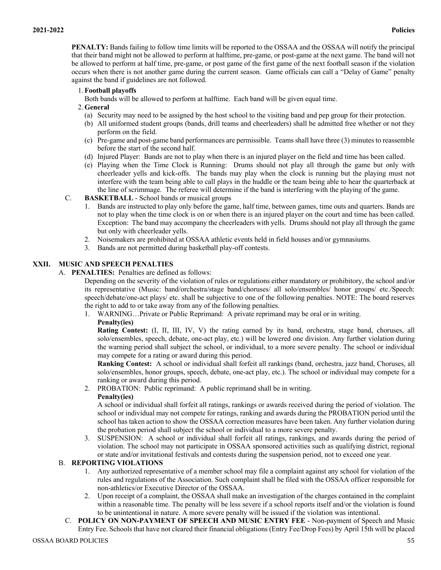**PENALTY:** Bands failing to follow time limits will be reported to the OSSAA and the OSSAA will notify the principal that their band might not be allowed to perform at halftime, pre-game, or post-game at the next game. The band will not be allowed to perform at half time, pre-game, or post game of the first game of the next football season if the violation occurs when there is not another game during the current season. Game officials can call a "Delay of Game" penalty against the band if guidelines are not followed.

## 1.**Football playoffs**

Both bands will be allowed to perform at halftime. Each band will be given equal time.

## 2.**General**

- (a) Security may need to be assigned by the host school to the visiting band and pep group for their protection.
- (b) All uniformed student groups (bands, drill teams and cheerleaders) shall be admitted free whether or not they perform on the field.
- (c) Pre-game and post-game band performances are permissible. Teams shall have three (3) minutes to reassemble before the start of the second half.
- (d) Injured Player: Bands are not to play when there is an injured player on the field and time has been called.
- (e) Playing when the Time Clock is Running: Drums should not play all through the game but only with cheerleader yells and kick-offs. The bands may play when the clock is running but the playing must not interfere with the team being able to call plays in the huddle or the team being able to hear the quarterback at the line of scrimmage. The referee will determine if the band is interfering with the playing of the game.
- C. **BASKETBALL**  School bands or musical groups
	- 1. Bands are instructed to play only before the game, half time, between games, time outs and quarters. Bands are not to play when the time clock is on or when there is an injured player on the court and time has been called. Exception: The band may accompany the cheerleaders with yells. Drums should not play all through the game but only with cheerleader yells.
	- 2. Noisemakers are prohibited at OSSAA athletic events held in field houses and/or gymnasiums.
	- 3. Bands are not permitted during basketball play-off contests.

# **XXII. MUSIC AND SPEECH PENALTIES**

A. **PENALTIES:** Penalties are defined as follows:

Depending on the severity of the violation of rules or regulations either mandatory or prohibitory, the school and/or its representative (Music: band/orchestra/stage band/choruses/ all solo/ensembles/ honor groups/ etc./Speech: speech/debate/one-act plays/ etc. shall be subjective to one of the following penalties. NOTE: The board reserves the right to add to or take away from any of the following penalties.

1. WARNING…Private or Public Reprimand: A private reprimand may be oral or in writing. **Penalty(ies)**

**Rating Contest:** (I, II, III, IV, V) the rating earned by its band, orchestra, stage band, choruses, all solo/ensembles, speech, debate, one-act play, etc.) will be lowered one division. Any further violation during the warning period shall subject the school, or individual, to a more severe penalty. The school or individual may compete for a rating or award during this period.

**Ranking Contest:** A school or individual shall forfeit all rankings (band, orchestra, jazz band, Choruses, all solo/ensembles, honor groups, speech, debate, one-act play, etc.). The school or individual may compete for a ranking or award during this period.

2. PROBATION: Public reprimand: A public reprimand shall be in writing.

# **Penalty(ies)**

A school or individual shall forfeit all ratings, rankings or awards received during the period of violation. The school or individual may not compete for ratings, ranking and awards during the PROBATION period until the school has taken action to show the OSSAA correction measures have been taken. Any further violation during the probation period shall subject the school or individual to a more severe penalty.

3. SUSPENSION: A school or individual shall forfeit all ratings, rankings, and awards during the period of violation. The school may not participate in OSSAA sponsored activities such as qualifying district, regional or state and/or invitational festivals and contests during the suspension period, not to exceed one year.

# B. **REPORTING VIOLATIONS**

- 1. Any authorized representative of a member school may file a complaint against any school for violation of the rules and regulations of the Association. Such complaint shall be filed with the OSSAA officer responsible for non-athletics/or Executive Director of the OSSAA.
- 2. Upon receipt of a complaint, the OSSAA shall make an investigation of the charges contained in the complaint within a reasonable time. The penalty will be less severe if a school reports itself and/or the violation is found to be unintentional in nature. A more severe penalty will be issued if the violation was intentional.
- C. **POLICY ON NON-PAYMENT OF SPEECH AND MUSIC ENTRY FEE** Non-payment of Speech and Music Entry Fee. Schools that have not cleared their financial obligations (Entry Fee/Drop Fees) by April 15th will be placed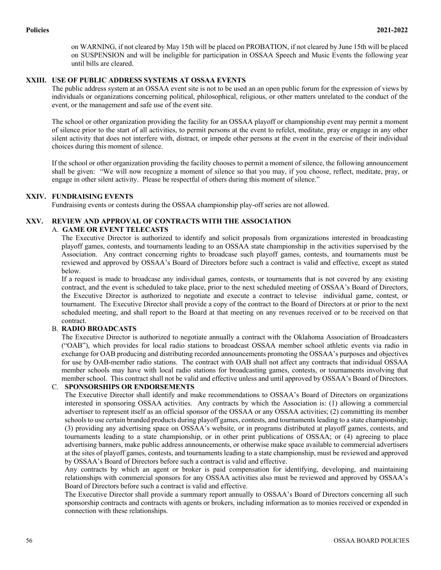on WARNING, if not cleared by May 15th will be placed on PROBATION, if not cleared by June 15th will be placed on SUSPENSION and will be ineligible for participation in OSSAA Speech and Music Events the following year until bills are cleared.

# **XXIII. USE OF PUBLIC ADDRESS SYSTEMS AT OSSAA EVENTS**

The public address system at an OSSAA event site is not to be used an an open public forum for the expression of views by individuals or organizations concerning political, philosophical, religious, or other matters unrelated to the conduct of the event, or the management and safe use of the event site.

The school or other organization providing the facility for an OSSAA playoff or championship event may permit a moment of silence prior to the start of all activities, to permit persons at the event to refelct, meditate, pray or engage in any other silent activity that does not interfere with, distract, or impede other persons at the event in the exercise of their individual choices during this moment of silence.

If the school or other organization providing the facility chooses to permit a moment of silence, the following announcement shall be given: "We will now recognize a moment of silence so that you may, if you choose, reflect, meditate, pray, or engage in other silent activity. Please be respectful of others during this moment of silence."

### **XXIV. FUNDRAISING EVENTS**

Fundraising events or contests during the OSSAA championship play-off series are not allowed.

### **XXV. REVIEW AND APPROVAL OF CONTRACTS WITH THE ASSOCIATION**

#### A. **GAME OR EVENT TELECASTS**

The Executive Director is authorized to identify and solicit proposals from organizations interested in broadcasting playoff games, contests, and tournaments leading to an OSSAA state championship in the activities supervised by the Association. Any contract concerning rights to broadcase such playoff games, contests, and tournaments must be reviewed and approved by OSSAA's Board of Directors before such a contract is valid and effective, except as stated below.

If a request is made to broadcase any individual games, contests, or tournaments that is not covered by any existing contract, and the event is scheduled to take place, prior to the next scheduled meeting of OSSAA's Board of Directors, the Executive Director is authorized to negotiate and execute a contract to televise individual game, contest, or tournament. The Executive Director shall provide a copy of the contract to the Board of Directors at or prior to the next scheduled meeting, and shall report to the Board at that meeting on any revenues received or to be received on that contract.

#### B. **RADIO BROADCASTS**

The Executive Director is authorized to negotiate annually a contract with the Oklahoma Association of Broadcasters ("OAB"), which provides for local radio stations to broadcast OSSAA member school athletic events via radio in exchange for OAB producing and distributing recorded announcements promoting the OSSAA's purposes and objectives for use by OAB-member radio stations. The contract with OAB shall not affect any contracts that individual OSSAA member schools may have with local radio stations for broadcasting games, contests, or tournaments involving that member school. This contract shall not be valid and effective unless and until approved by OSSAA's Board of Directors.

### C. **SPONSORSHIPS OR ENDORSEMENTS**

The Executive Director shall identify and make recommendations to OSSAA's Board of Directors on organizations interested in sponsoring OSSAA activities. Any contracts by which the Association is: (1) allowing a commercial advertiser to represent itself as an official sponsor of the OSSAA or any OSSAA activities; (2) committing its member schools to use certain branded products during playoff games, contests, and tournaments leading to a state championship; (3) providing any advertising space on OSSAA's website, or in programs distributed at playoff games, contests, and tournaments leading to a state championship, or in other print publications of OSSAA; or (4) agreeing to place advertising banners, make public address announcements, or otherwise make space available to commercial advertisers at the sites of playoff games, contests, and tournaments leading to a state championship, must be reviewed and approved by OSSAA's Board of Directors before such a contract is valid and effective.

Any contracts by which an agent or broker is paid compensation for identifying, developing, and maintaining relationships with commercial sponsors for any OSSAA activities also must be reviewed and approved by OSSAA's Board of Directors before such a contract is valid and effective.

The Executive Director shall provide a summary report annually to OSSAA's Board of Directors concerning all such sponsorship contracts and contracts with agents or brokers, including information as to monies received or expended in connection with these relationships.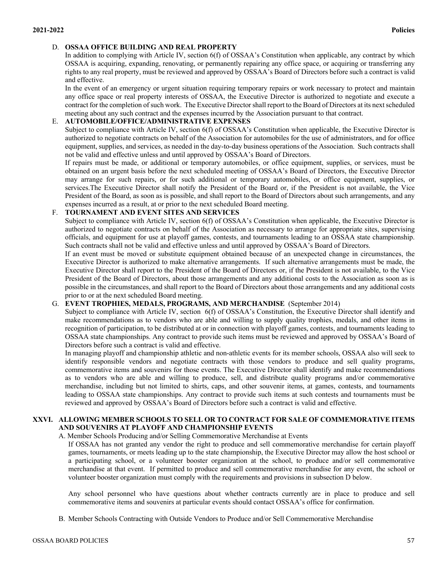# D. **OSSAA OFFICE BUILDING AND REAL PROPERTY**

In addition to complying with Article IV, section 6(f) of OSSAA's Constitution when applicable, any contract by which OSSAA is acquiring, expanding, renovating, or permanently repairing any office space, or acquiring or transferring any rights to any real property, must be reviewed and approved by OSSAA's Board of Directors before such a contract is valid and effective.

In the event of an emergency or urgent situation requiring temporary repairs or work necessary to protect and maintain any office space or real property interests of OSSAA, the Executive Director is authorized to negotiate and execute a contract for the completion of such work. The Executive Director shall report to the Board of Directors at its next scheduled meeting about any such contract and the expenses incurred by the Association pursuant to that contract.

# E. **AUTOMOBILE/OFFICE/ADMINISTRATIVE EXPENSES**

Subject to compliance with Article IV, section 6(f) of OSSAA's Constitution when applicable, the Executive Director is authorized to negotiate contracts on behalf of the Association for automobiles for the use of administrators, and for office equipment, supplies, and services, as needed in the day-to-day business operations of the Association. Such contracts shall not be valid and effective unless and until approved by OSSAA's Board of Directors.

If repairs must be made, or additional or temporary automobiles, or office equipment, supplies, or services, must be obtained on an urgent basis before the next scheduled meeting of OSSAA's Board of Directors, the Executive Director may arrange for such repairs, or for such additional or temporary automobiles, or office equipment, supplies, or services.The Executive Director shall notify the President of the Board or, if the President is not available, the Vice President of the Board, as soon as is possible, and shall report to the Board of Directors about such arrangements, and any expenses incurred as a result, at or prior to the next scheduled Board meeting.

# F. **TOURNAMENT AND EVENT SITES AND SERVICES**

Subject to compliance with Article IV, section 6(f) of OSSAA's Constitution when applicable, the Executive Director is authorized to negotiate contracts on behalf of the Association as necessary to arrange for appropriate sites, supervising officials, and equipment for use at playoff games, contests, and tournaments leading to an OSSAA state championship. Such contracts shall not be valid and effective unless and until approved by OSSAA's Board of Directors.

If an event must be moved or substitute equipment obtained because of an unexpected change in circumstances, the Executive Director is authorized to make alternative arrangements. If such alternative arrangements must be made, the Executive Director shall report to the President of the Board of Directors or, if the President is not available, to the Vice President of the Board of Directors, about those arrangements and any additional costs to the Association as soon as is possible in the circumstances, and shall report to the Board of Directors about those arrangements and any additional costs prior to or at the next scheduled Board meeting.

# G. **EVENT TROPHIES, MEDALS, PROGRAMS, AND MERCHANDISE** (September 2014)

Subject to compliance with Article IV, section 6(f) of OSSAA's Constitution, the Executive Director shall identify and make recommendations as to vendors who are able and willing to supply quality trophies, medals, and other items in recognition of participation, to be distributed at or in connection with playoff games, contests, and tournaments leading to OSSAA state championships. Any contract to provide such items must be reviewed and approved by OSSAA's Board of Directors before such a contract is valid and effective.

In managing playoff and championship athletic and non-athletic events for its member schools, OSSAA also will seek to identify responsible vendors and negotiate contracts with those vendors to produce and sell quality programs, commemorative items and souvenirs for those events. The Executive Director shall identify and make recommendations as to vendors who are able and willing to produce, sell, and distribute quality programs and/or commemorative merchandise, including but not limited to shirts, caps, and other souvenir items, at games, contests, and tournaments leading to OSSAA state championships. Any contract to provide such items at such contests and tournaments must be reviewed and approved by OSSAA's Board of Directors before such a contract is valid and effective.

# **XXVI. ALLOWING MEMBER SCHOOLS TO SELL OR TO CONTRACT FOR SALE OF COMMEMORATIVE ITEMS AND SOUVENIRS AT PLAYOFF AND CHAMPIONSHIP EVENTS**

# A. Member Schools Producing and/or Selling Commemorative Merchandise at Events

If OSSAA has not granted any vendor the right to produce and sell commemorative merchandise for certain playoff games, tournaments, or meets leading up to the state championship, the Executive Director may allow the host school or a participating school, or a volunteer booster organization at the school, to produce and/or sell commemorative merchandise at that event. If permitted to produce and sell commemorative merchandise for any event, the school or volunteer booster organization must comply with the requirements and provisions in subsection D below.

Any school personnel who have questions about whether contracts currently are in place to produce and sell commemorative items and souvenirs at particular events should contact OSSAA's office for confirmation.

B. Member Schools Contracting with Outside Vendors to Produce and/or Sell Commemorative Merchandise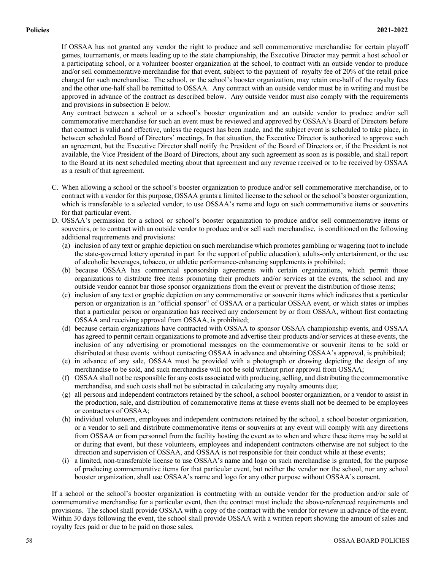If OSSAA has not granted any vendor the right to produce and sell commemorative merchandise for certain playoff games, tournaments, or meets leading up to the state championship, the Executive Director may permit a host school or a participating school, or a volunteer booster organization at the school, to contract with an outside vendor to produce and/or sell commemorative merchandise for that event, subject to the payment of royalty fee of 20% of the retail price charged for such merchandise. The school, or the school's booster organization, may retain one-half of the royalty fees and the other one-half shall be remitted to OSSAA. Any contract with an outside vendor must be in writing and must be approved in advance of the contract as described below. Any outside vendor must also comply with the requirements and provisions in subsection E below.

Any contract between a school or a school's booster organization and an outside vendor to produce and/or sell commemorative merchandise for such an event must be reviewed and approved by OSSAA's Board of Directors before that contract is valid and effective, unless the request has been made, and the subject event is scheduled to take place, in between scheduled Board of Directors' meetings. In that situation, the Executive Director is authorized to approve such an agreement, but the Executive Director shall notify the President of the Board of Directors or, if the President is not available, the Vice President of the Board of Directors, about any such agreement as soon as is possible, and shall report to the Board at its next scheduled meeting about that agreement and any revenue received or to be received by OSSAA as a result of that agreement.

- C. When allowing a school or the school's booster organization to produce and/or sell commemorative merchandise, or to contract with a vendor for this purpose, OSSAA grants a limited license to the school or the school's booster organization, which is transferable to a selected vendor, to use OSSAA's name and logo on such commemorative items or souvenirs for that particular event.
- D. OSSAA's permission for a school or school's booster organization to produce and/or sell commemorative items or souvenirs, or to contract with an outside vendor to produce and/or sell such merchandise, is conditioned on the following additional requirements and provisions:
	- (a) inclusion of any text or graphic depiction on such merchandise which promotes gambling or wagering (not to include the state-governed lottery operated in part for the support of public education), adults-only entertainment, or the use of alcoholic beverages, tobacco, or athletic performance-enhancing supplements is prohibited;
	- (b) because OSSAA has commercial sponsorship agreements with certain organizations, which permit those organizations to distribute free items promoting their products and/or services at the events, the school and any outside vendor cannot bar those sponsor organizations from the event or prevent the distribution of those items;
	- (c) inclusion of any text or graphic depiction on any commemorative or souvenir items which indicates that a particular person or organization is an "official sponsor" of OSSAA or a particular OSSAA event, or which states or implies that a particular person or organization has received any endorsement by or from OSSAA, without first contacting OSSAA and receiving approval from OSSAA, is prohibited;
	- (d) because certain organizations have contracted with OSSAA to sponsor OSSAA championship events, and OSSAA has agreed to permit certain organizations to promote and advertise their products and/or services at these events, the inclusion of any advertising or promotional messages on the commemorative or souvenir items to be sold or distributed at these events without contacting OSSAA in advance and obtaining OSSAA's approval, is prohibited;
	- (e) in advance of any sale, OSSAA must be provided with a photograph or drawing depicting the design of any merchandise to be sold, and such merchandise will not be sold without prior approval from OSSAA;
	- (f) OSSAA shall not be responsible for any costs associated with producing, selling, and distributing the commemorative merchandise, and such costs shall not be subtracted in calculating any royalty amounts due;
	- (g) all persons and independent contractors retained by the school, a school booster organization, or a vendor to assist in the production, sale, and distribution of commemorative items at these events shall not be deemed to be employees or contractors of OSSAA;
	- (h) individual volunteers, employees and independent contractors retained by the school, a school booster organization, or a vendor to sell and distribute commemorative items or souvenirs at any event will comply with any directions from OSSAA or from personnel from the facility hosting the event as to when and where these items may be sold at or during that event, but these volunteers, employees and independent contractors otherwise are not subject to the direction and supervision of OSSAA, and OSSAA is not responsible for their conduct while at these events;
	- (i) a limited, non-transferable license to use OSSAA's name and logo on such merchandise is granted, for the purpose of producing commemorative items for that particular event, but neither the vendor nor the school, nor any school booster organization, shall use OSSAA's name and logo for any other purpose without OSSAA's consent.

If a school or the school's booster organization is contracting with an outside vendor for the production and/or sale of commemorative merchandise for a particular event, then the contract must include the above-referenced requirements and provisions. The school shall provide OSSAA with a copy of the contract with the vendor for review in advance of the event. Within 30 days following the event, the school shall provide OSSAA with a written report showing the amount of sales and royalty fees paid or due to be paid on those sales.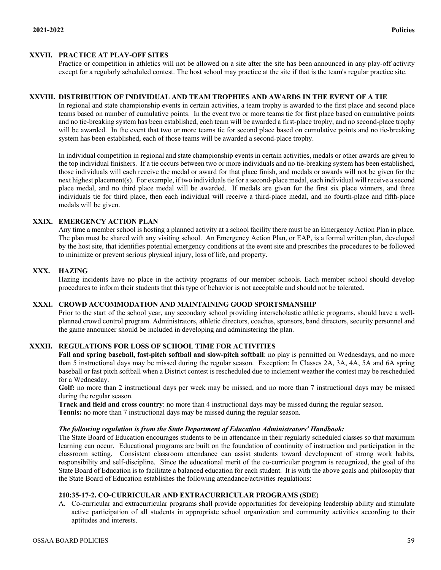# **XXVII. PRACTICE AT PLAY-OFF SITES**

Practice or competition in athletics will not be allowed on a site after the site has been announced in any play-off activity except for a regularly scheduled contest. The host school may practice at the site if that is the team's regular practice site.

### **XXVIII. DISTRIBUTION OF INDIVIDUAL AND TEAM TROPHIES AND AWARDS IN THE EVENT OF A TIE**

In regional and state championship events in certain activities, a team trophy is awarded to the first place and second place teams based on number of cumulative points. In the event two or more teams tie for first place based on cumulative points and no tie-breaking system has been established, each team will be awarded a first-place trophy, and no second-place trophy will be awarded. In the event that two or more teams tie for second place based on cumulative points and no tie-breaking system has been established, each of those teams will be awarded a second-place trophy.

In individual competition in regional and state championship events in certain activities, medals or other awards are given to the top individual finishers. If a tie occurs between two or more individuals and no tie-breaking system has been established, those individuals will each receive the medal or award for that place finish, and medals or awards will not be given for the next highest placement(s). For example, if two individuals tie for a second-place medal, each individual will receive a second place medal, and no third place medal will be awarded. If medals are given for the first six place winners, and three individuals tie for third place, then each individual will receive a third-place medal, and no fourth-place and fifth-place medals will be given.

# **XXIX. EMERGENCY ACTION PLAN**

Any time a member school is hosting a planned activity at a school facility there must be an Emergency Action Plan in place. The plan must be shared with any visiting school. An Emergency Action Plan, or EAP, is a formal written plan, developed by the host site, that identifies potential emergency conditions at the event site and prescribes the procedures to be followed to minimize or prevent serious physical injury, loss of life, and property.

### **XXX. HAZING**

Hazing incidents have no place in the activity programs of our member schools. Each member school should develop procedures to inform their students that this type of behavior is not acceptable and should not be tolerated.

# **XXXI. CROWD ACCOMMODATION AND MAINTAINING GOOD SPORTSMANSHIP**

Prior to the start of the school year, any secondary school providing interscholastic athletic programs, should have a wellplanned crowd control program. Administrators, athletic directors, coaches, sponsors, band directors, security personnel and the game announcer should be included in developing and administering the plan.

# **XXXII. REGULATIONS FOR LOSS OF SCHOOL TIME FOR ACTIVITIES**

**Fall and spring baseball, fast-pitch softball and slow-pitch softball**: no play is permitted on Wednesdays, and no more than 5 instructional days may be missed during the regular season. Exception: In Classes 2A, 3A, 4A, 5A and 6A spring baseball or fast pitch softball when a District contest is rescheduled due to inclement weather the contest may be rescheduled for a Wednesday.

Golf: no more than 2 instructional days per week may be missed, and no more than 7 instructional days may be missed during the regular season.

**Track and field and cross country**: no more than 4 instructional days may be missed during the regular season. **Tennis:** no more than 7 instructional days may be missed during the regular season.

#### *The following regulation is from the State Department of Education Administrators' Handbook:*

The State Board of Education encourages students to be in attendance in their regularly scheduled classes so that maximum learning can occur. Educational programs are built on the foundation of continuity of instruction and participation in the classroom setting. Consistent classroom attendance can assist students toward development of strong work habits, responsibility and self-discipline. Since the educational merit of the co-curricular program is recognized, the goal of the State Board of Education is to facilitate a balanced education for each student. It is with the above goals and philosophy that the State Board of Education establishes the following attendance/activities regulations:

## **210:35-17-2. CO-CURRICULAR AND EXTRACURRICULAR PROGRAMS (SDE**)

A. Co-curricular and extracurricular programs shall provide opportunities for developing leadership ability and stimulate active participation of all students in appropriate school organization and community activities according to their aptitudes and interests.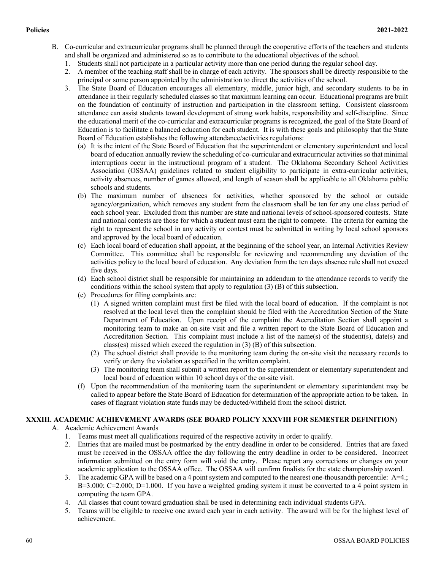- B. Co-curricular and extracurricular programs shall be planned through the cooperative efforts of the teachers and students and shall be organized and administered so as to contribute to the educational objectives of the school.
	- 1. Students shall not participate in a particular activity more than one period during the regular school day.
	- 2. A member of the teaching staff shall be in charge of each activity. The sponsors shall be directly responsible to the principal or some person appointed by the administration to direct the activities of the school.
	- 3. The State Board of Education encourages all elementary, middle, junior high, and secondary students to be in attendance in their regularly scheduled classes so that maximum learning can occur. Educational programs are built on the foundation of continuity of instruction and participation in the classroom setting. Consistent classroom attendance can assist students toward development of strong work habits, responsibility and self-discipline. Since the educational merit of the co-curricular and extracurricular programs is recognized, the goal of the State Board of Education is to facilitate a balanced education for each student. It is with these goals and philosophy that the State Board of Education establishes the following attendance/activities regulations:
		- (a) It is the intent of the State Board of Education that the superintendent or elementary superintendent and local board of education annually review the scheduling of co-curricular and extracurricular activities so that minimal interruptions occur in the instructional program of a student. The Oklahoma Secondary School Activities Association (OSSAA) guidelines related to student eligibility to participate in extra-curricular activities, activity absences, number of games allowed, and length of season shall be applicable to all Oklahoma public schools and students.
		- (b) The maximum number of absences for activities, whether sponsored by the school or outside agency/organization, which removes any student from the classroom shall be ten for any one class period of each school year. Excluded from this number are state and national levels of school-sponsored contests. State and national contests are those for which a student must earn the right to compete. The criteria for earning the right to represent the school in any activity or contest must be submitted in writing by local school sponsors and approved by the local board of education.
		- (c) Each local board of education shall appoint, at the beginning of the school year, an Internal Activities Review Committee. This committee shall be responsible for reviewing and recommending any deviation of the activities policy to the local board of education. Any deviation from the ten days absence rule shall not exceed five days.
		- (d) Each school district shall be responsible for maintaining an addendum to the attendance records to verify the conditions within the school system that apply to regulation (3) (B) of this subsection.
		- (e) Procedures for filing complaints are:
			- (1) A signed written complaint must first be filed with the local board of education. If the complaint is not resolved at the local level then the complaint should be filed with the Accreditation Section of the State Department of Education. Upon receipt of the complaint the Accreditation Section shall appoint a monitoring team to make an on-site visit and file a written report to the State Board of Education and Accreditation Section. This complaint must include a list of the name(s) of the student(s), date(s) and class(es) missed which exceed the regulation in (3) (B) of this subsection.
			- (2) The school district shall provide to the monitoring team during the on-site visit the necessary records to verify or deny the violation as specified in the written complaint.
			- (3) The monitoring team shall submit a written report to the superintendent or elementary superintendent and local board of education within 10 school days of the on-site visit.
		- (f) Upon the recommendation of the monitoring team the superintendent or elementary superintendent may be called to appear before the State Board of Education for determination of the appropriate action to be taken. In cases of flagrant violation state funds may be deducted/withheld from the school district.

# **XXXIII. ACADEMIC ACHIEVEMENT AWARDS (SEE BOARD POLICY XXXVIII FOR SEMESTER DEFINITION)**

- A. Academic Achievement Awards
	- 1. Teams must meet all qualifications required of the respective activity in order to qualify.
	- 2. Entries that are mailed must be postmarked by the entry deadline in order to be considered. Entries that are faxed must be received in the OSSAA office the day following the entry deadline in order to be considered. Incorrect information submitted on the entry form will void the entry. Please report any corrections or changes on your academic application to the OSSAA office. The OSSAA will confirm finalists for the state championship award.
	- 3. The academic GPA will be based on a 4 point system and computed to the nearest one-thousandth percentile: A=4.;  $B=3.000$ ;  $C=2.000$ ;  $D=1.000$ . If you have a weighted grading system it must be converted to a 4 point system in computing the team GPA.
	- 4. All classes that count toward graduation shall be used in determining each individual students GPA.
	- 5. Teams will be eligible to receive one award each year in each activity. The award will be for the highest level of achievement.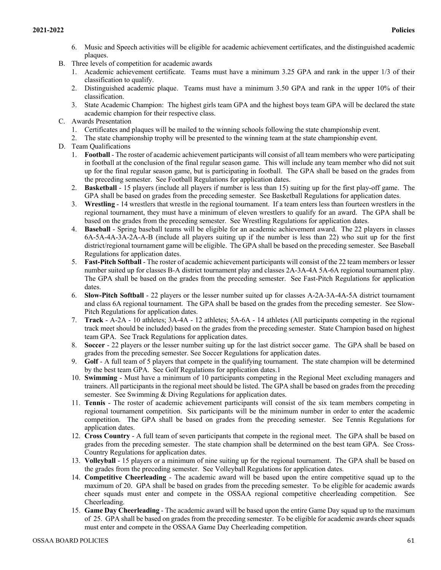- 6. Music and Speech activities will be eligible for academic achievement certificates, and the distinguished academic plaques.
- B. Three levels of competition for academic awards
	- 1. Academic achievement certificate. Teams must have a minimum 3.25 GPA and rank in the upper 1/3 of their classification to qualify.
	- 2. Distinguished academic plaque. Teams must have a minimum 3.50 GPA and rank in the upper 10% of their classification.
	- 3. State Academic Champion: The highest girls team GPA and the highest boys team GPA will be declared the state academic champion for their respective class.
- C. Awards Presentation
	- 1. Certificates and plaques will be mailed to the winning schools following the state championship event.
	- 2. The state championship trophy will be presented to the winning team at the state championship event.
- D. Team Qualifications
	- 1. **Football** The roster of academic achievement participants will consist of all team members who were participating in football at the conclusion of the final regular season game. This will include any team member who did not suit up for the final regular season game, but is participating in football. The GPA shall be based on the grades from the preceding semester. See Football Regulations for application dates.
	- 2. **Basketball** 15 players (include all players if number is less than 15) suiting up for the first play-off game. The GPA shall be based on grades from the preceding semester. See Basketball Regulations for application dates.
	- 3. **Wrestling** 14 wrestlers that wrestle in the regional tournament. If a team enters less than fourteen wrestlers in the regional tournament, they must have a minimum of eleven wrestlers to qualify for an award. The GPA shall be based on the grades from the preceding semester. See Wrestling Regulations for application dates.
	- 4. **Baseball** Spring baseball teams will be eligible for an academic achievement award. The 22 players in classes 6A-5A-4A-3A-2A-A-B (include all players suiting up if the number is less than 22) who suit up for the first district/regional tournament game will be eligible. The GPA shall be based on the preceding semester. See Baseball Regulations for application dates.
	- 5. **Fast-Pitch Softball** The roster of academic achievement participants will consist of the 22 team members or lesser number suited up for classes B-A district tournament play and classes 2A-3A-4A 5A-6A regional tournament play. The GPA shall be based on the grades from the preceding semester. See Fast-Pitch Regulations for application dates.
	- 6. **Slow-Pitch Softball** 22 players or the lesser number suited up for classes A-2A-3A-4A-5A district tournament and class 6A regional tournament. The GPA shall be based on the grades from the preceding semester. See Slow-Pitch Regulations for application dates.
	- 7. **Track** A-2A 10 athletes; 3A-4A 12 athletes; 5A-6A 14 athletes (All participants competing in the regional track meet should be included) based on the grades from the preceding semester. State Champion based on highest team GPA. See Track Regulations for application dates.
	- 8. **Soccer** 22 players or the lesser number suiting up for the last district soccer game. The GPA shall be based on grades from the preceding semester. See Soccer Regulations for application dates.
	- 9. **Golf** A full team of 5 players that compete in the qualifying tournament. The state champion will be determined by the best team GPA. See Golf Regulations for application dates.1
	- 10. **Swimming**  Must have a minimum of 10 participants competing in the Regional Meet excluding managers and trainers. All participants in the regional meet should be listed. The GPA shall be based on grades from the preceding semester. See Swimming & Diving Regulations for application dates.
	- 11. **Tennis** The roster of academic achievement participants will consist of the six team members competing in regional tournament competition. Six participants will be the minimum number in order to enter the academic competition. The GPA shall be based on grades from the preceding semester. See Tennis Regulations for application dates.
	- 12. **Cross Country** A full team of seven participants that compete in the regional meet. The GPA shall be based on grades from the preceding semester. The state champion shall be determined on the best team GPA. See Cross-Country Regulations for application dates.
	- 13. **Volleyball** 15 players or a minimum of nine suiting up for the regional tournament. The GPA shall be based on the grades from the preceding semester. See Volleyball Regulations for application dates.
	- 14. **Competitive Cheerleading** The academic award will be based upon the entire competitive squad up to the maximum of 20. GPA shall be based on grades from the preceding semester. To be eligible for academic awards cheer squads must enter and compete in the OSSAA regional competitive cheerleading competition. See Cheerleading.
	- 15. **Game Day Cheerleading** The academic award will be based upon the entire Game Day squad up to the maximum of 25. GPA shall be based on grades from the preceding semester. To be eligible for academic awards cheer squads must enter and compete in the OSSAA Game Day Cheerleading competition.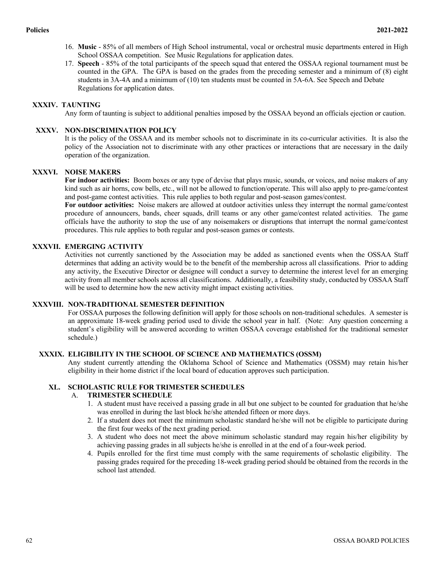- 16. **Music** 85% of all members of High School instrumental, vocal or orchestral music departments entered in High School OSSAA competition. See Music Regulations for application dates.
- 17. **Speech** 85% of the total participants of the speech squad that entered the OSSAA regional tournament must be counted in the GPA. The GPA is based on the grades from the preceding semester and a minimum of (8) eight students in 3A-4A and a minimum of (10) ten students must be counted in 5A-6A. See Speech and Debate Regulations for application dates.

# **XXXIV. TAUNTING**

Any form of taunting is subject to additional penalties imposed by the OSSAA beyond an officials ejection or caution.

# **XXXV. NON-DISCRIMINATION POLICY**

It is the policy of the OSSAA and its member schools not to discriminate in its co-curricular activities. It is also the policy of the Association not to discriminate with any other practices or interactions that are necessary in the daily operation of the organization.

# **XXXVI. NOISE MAKERS**

**For indoor activities:** Boom boxes or any type of devise that plays music, sounds, or voices, and noise makers of any kind such as air horns, cow bells, etc., will not be allowed to function/operate. This will also apply to pre-game/contest and post-game contest activities. This rule applies to both regular and post-season games/contest.

**For outdoor activities:** Noise makers are allowed at outdoor activities unless they interrupt the normal game/contest procedure of announcers, bands, cheer squads, drill teams or any other game/contest related activities. The game officials have the authority to stop the use of any noisemakers or disruptions that interrupt the normal game/contest procedures. This rule applies to both regular and post-season games or contests.

# **XXXVII. EMERGING ACTIVITY**

Activities not currently sanctioned by the Association may be added as sanctioned events when the OSSAA Staff determines that adding an activity would be to the benefit of the membership across all classifications. Prior to adding any activity, the Executive Director or designee will conduct a survey to determine the interest level for an emerging activity from all member schools across all classifications. Additionally, a feasibility study, conducted by OSSAA Staff will be used to determine how the new activity might impact existing activities.

# **XXXVIII. NON-TRADITIONAL SEMESTER DEFINITION**

For OSSAA purposes the following definition will apply for those schools on non-traditional schedules. A semester is an approximate 18-week grading period used to divide the school year in half. (Note: Any question concerning a student's eligibility will be answered according to written OSSAA coverage established for the traditional semester schedule.)

# **XXXIX. ELIGIBILITY IN THE SCHOOL OF SCIENCE AND MATHEMATICS (OSSM)**

Any student currently attending the Oklahoma School of Science and Mathematics (OSSM) may retain his/her eligibility in their home district if the local board of education approves such participation.

# **XL. SCHOLASTIC RULE FOR TRIMESTER SCHEDULES**

### A. **TRIMESTER SCHEDULE**

- 1. A student must have received a passing grade in all but one subject to be counted for graduation that he/she was enrolled in during the last block he/she attended fifteen or more days.
- 2. If a student does not meet the minimum scholastic standard he/she will not be eligible to participate during the first four weeks of the next grading period.
- 3. A student who does not meet the above minimum scholastic standard may regain his/her eligibility by achieving passing grades in all subjects he/she is enrolled in at the end of a four-week period.
- 4. Pupils enrolled for the first time must comply with the same requirements of scholastic eligibility. The passing grades required for the preceding 18-week grading period should be obtained from the records in the school last attended.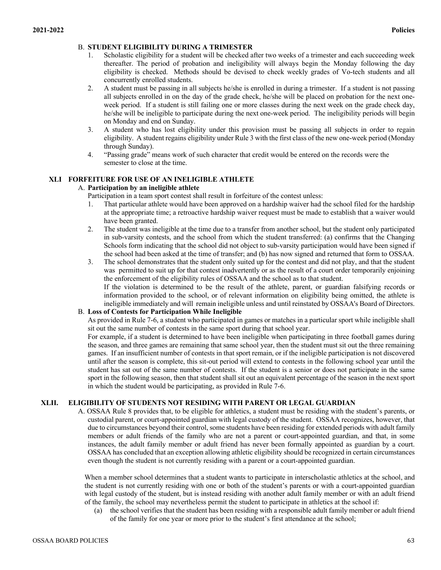# B. **STUDENT ELIGIBILITY DURING A TRIMESTER**

- Scholastic eligibility for a student will be checked after two weeks of a trimester and each succeeding week thereafter. The period of probation and ineligibility will always begin the Monday following the day eligibility is checked. Methods should be devised to check weekly grades of Vo-tech students and all concurrently enrolled students.
- 2. A student must be passing in all subjects he/she is enrolled in during a trimester. If a student is not passing all subjects enrolled in on the day of the grade check, he/she will be placed on probation for the next oneweek period. If a student is still failing one or more classes during the next week on the grade check day, he/she will be ineligible to participate during the next one-week period. The ineligibility periods will begin on Monday and end on Sunday.
- 3. A student who has lost eligibility under this provision must be passing all subjects in order to regain eligibility. A student regains eligibility under Rule 3 with the first class of the new one-week period (Monday through Sunday).
- 4. "Passing grade" means work of such character that credit would be entered on the records were the semester to close at the time.

# **XLI FORFEITURE FOR USE OF AN INELIGIBLE ATHLETE**

# A. **Participation by an ineligible athlete**

Participation in a team sport contest shall result in forfeiture of the contest unless:

- 1. That particular athlete would have been approved on a hardship waiver had the school filed for the hardship at the appropriate time; a retroactive hardship waiver request must be made to establish that a waiver would have been granted.
- 2. The student was ineligible at the time due to a transfer from another school, but the student only participated in sub-varsity contests, and the school from which the student transferred: (a) confirms that the Changing Schools form indicating that the school did not object to sub-varsity participation would have been signed if the school had been asked at the time of transfer; and (b) has now signed and returned that form to OSSAA.
- 3. The school demonstrates that the student only suited up for the contest and did not play, and that the student was permitted to suit up for that contest inadvertently or as the result of a court order temporarily enjoining the enforcement of the eligibility rules of OSSAA and the school as to that student. If the violation is determined to be the result of the athlete, parent, or guardian falsifying records or

information provided to the school, or of relevant information on eligibility being omitted, the athlete is ineligible immediately and will remain ineligible unless and until reinstated by OSSAA's Board of Directors.

# B. **Loss of Contests for Participation While Ineligible**

As provided in Rule 7-6, a student who participated in games or matches in a particular sport while ineligible shall sit out the same number of contests in the same sport during that school year.

For example, if a student is determined to have been ineligible when participating in three football games during the season, and three games are remaining that same school year, then the student must sit out the three remaining games. If an insufficient number of contests in that sport remain, or if the ineligible participation is not discovered until after the season is complete, this sit-out period will extend to contests in the following school year until the student has sat out of the same number of contests. If the student is a senior or does not participate in the same sport in the following season, then that student shall sit out an equivalent percentage of the season in the next sport in which the student would be participating, as provided in Rule 7-6.

# **XLII. ELIGIBILITY OF STUDENTS NOT RESIDING WITH PARENT OR LEGAL GUARDIAN**

A. OSSAA Rule 8 provides that, to be eligible for athletics, a student must be residing with the student's parents, or custodial parent, or court-appointed guardian with legal custody of the student. OSSAA recognizes, however, that due to circumstances beyond their control, some students have been residing for extended periods with adult family members or adult friends of the family who are not a parent or court-appointed guardian, and that, in some instances, the adult family member or adult friend has never been formally appointed as guardian by a court. OSSAA has concluded that an exception allowing athletic eligibility should be recognized in certain circumstances even though the student is not currently residing with a parent or a court-appointed guardian.

When a member school determines that a student wants to participate in interscholastic athletics at the school, and the student is not currently residing with one or both of the student's parents or with a court-appointed guardian with legal custody of the student, but is instead residing with another adult family member or with an adult friend of the family, the school may nevertheless permit the student to participate in athletics at the school if:

(a) the school verifies that the student has been residing with a responsible adult family member or adult friend of the family for one year or more prior to the student's first attendance at the school;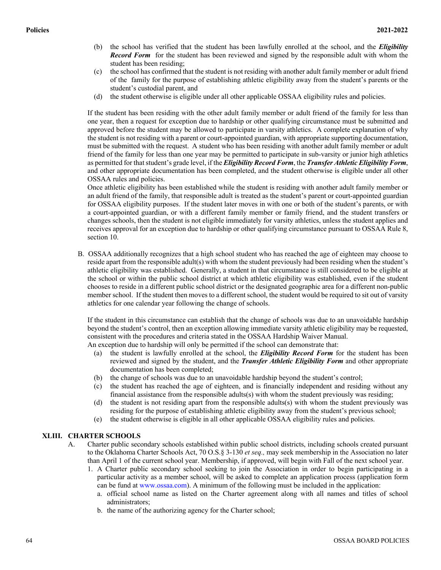- (b) the school has verified that the student has been lawfully enrolled at the school, and the *Eligibility Record Form* for the student has been reviewed and signed by the responsible adult with whom the student has been residing;
- (c) the school has confirmed that the student is not residing with another adult family member or adult friend of the family for the purpose of establishing athletic eligibility away from the student's parents or the student's custodial parent, and
- (d) the student otherwise is eligible under all other applicable OSSAA eligibility rules and policies.

If the student has been residing with the other adult family member or adult friend of the family for less than one year, then a request for exception due to hardship or other qualifying circumstance must be submitted and approved before the student may be allowed to participate in varsity athletics. A complete explanation of why the student is not residing with a parent or court-appointed guardian, with appropriate supporting documentation, must be submitted with the request. A student who has been residing with another adult family member or adult friend of the family for less than one year may be permitted to participate in sub-varsity or junior high athletics as permitted for that student's grade level, if the *Eligibility Record Form*, the *Transfer Athletic Eligibility Form*, and other appropriate documentation has been completed, and the student otherwise is eligible under all other OSSAA rules and policies.

Once athletic eligibility has been established while the student is residing with another adult family member or an adult friend of the family, that responsible adult is treated as the student's parent or court-appointed guardian for OSSAA eligibility purposes. If the student later moves in with one or both of the student's parents, or with a court-appointed guardian, or with a different family member or family friend, and the student transfers or changes schools, then the student is not eligible immediately for varsity athletics, unless the student applies and receives approval for an exception due to hardship or other qualifying circumstance pursuant to OSSAA Rule 8, section 10.

B. OSSAA additionally recognizes that a high school student who has reached the age of eighteen may choose to reside apart from the responsible adult(s) with whom the student previously had been residing when the student's athletic eligibility was established. Generally, a student in that circumstance is still considered to be eligible at the school or within the public school district at which athletic eligibility was established, even if the student chooses to reside in a different public school district or the designated geographic area for a different non-public member school. If the student then moves to a different school, the student would be required to sit out of varsity athletics for one calendar year following the change of schools.

If the student in this circumstance can establish that the change of schools was due to an unavoidable hardship beyond the student's control, then an exception allowing immediate varsity athletic eligibility may be requested, consistent with the procedures and criteria stated in the OSSAA Hardship Waiver Manual. An exception due to hardship will only be permitted if the school can demonstrate that:

- (a) the student is lawfully enrolled at the school, the *Eligibility Record Form* for the student has been reviewed and signed by the student, and the *Transfer Athletic Eligibility Form* and other appropriate documentation has been completed;
- (b) the change of schools was due to an unavoidable hardship beyond the student's control;
- (c) the student has reached the age of eighteen, and is financially independent and residing without any financial assistance from the responsible adults $(s)$  with whom the student previously was residing;
- (d) the student is not residing apart from the responsible adults(s) with whom the student previously was residing for the purpose of establishing athletic eligibility away from the student's previous school;
- (e) the student otherwise is eligible in all other applicable OSSAA eligibility rules and policies.

# **XLIII. CHARTER SCHOOLS**

- A. Charter public secondary schools established within public school districts, including schools created pursuant to the Oklahoma Charter Schools Act, 70 O.S.§ 3-130 *et seq.,* may seek membership in the Association no later than April 1 of the current school year. Membership, if approved, will begin with Fall of the next school year.
	- 1. A Charter public secondary school seeking to join the Association in order to begin participating in a particular activity as a member school, will be asked to complete an application process (application form can be fund at www.ossaa.com). A minimum of the following must be included in the application:
		- a. official school name as listed on the Charter agreement along with all names and titles of school administrators;
		- b. the name of the authorizing agency for the Charter school;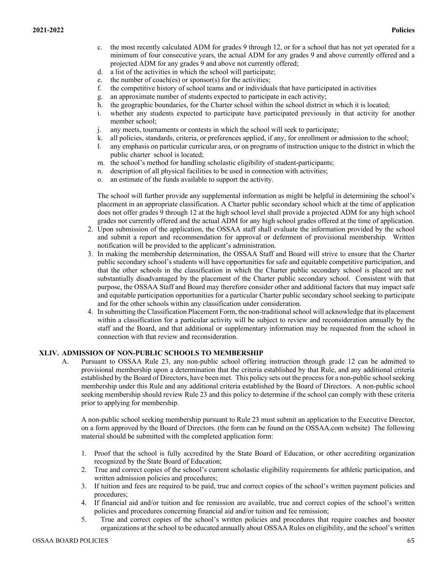- c. the most recently calculated ADM for grades 9 through 12, or for a school that has not yet operated for a minimum of four consecutive years, the actual ADM for any grades 9 and above currently offered and a projected ADM for any grades 9 and above not currently offered;
- d. a list of the activities in which the school will participate;
- e. the number of coach(es) or sponsor(s) for the activities;
- f. the competitive history of school teams and or individuals that have participated in activities
- g. an approximate number of students expected to participate in each activity;
- h. the geographic boundaries, for the Charter school within the school district in which it is located;
- i. whether any students expected to participate have participated previously in that activity for another member school;
- j. any meets, tournaments or contests in which the school will seek to participate;
- k. all policies, standards, criteria, or preferences applied, if any, for enrollment or admission to the school;
- l. any emphasis on particular curricular area, or on programs of instruction unique to the district in which the public charter school is located;
- m. the school's method for handling scholastic eligibility of student-participants;
- n. description of all physical facilities to be used in connection with activities;
- o. an estimate of the funds available to support the activity.

The school will further provide any supplemental information as might be helpful in determining the school's placement in an appropriate classification. A Charter public secondary school which at the time of application does not offer grades 9 through 12 at the high school level shall provide a projected ADM for any high school grades not currently offered and the actual ADM for any high school grades offered at the time of application.

- 2. Upon submission of the application, the OSSAA staff shall evaluate the information provided by the school and submit a report and recommendation for approval or deferment of provisional membership. Written notification will be provided to the applicant's administration.
- 3. In making the membership determination, the OSSAA Staff and Board will strive to ensure that the Charter public secondary school's students will have opportunities for safe and equitable competitive participation, and that the other schools in the classification in which the Charter public secondary school is placed are not substantially disadvantaged by the placement of the Charter public secondary school. Consistent with that purpose, the OSSAA Staff and Board may therefore consider other and additional factors that may impact safe and equitable participation opportunities for a particular Charter public secondary school seeking to participate and for the other schools within any classification under consideration.
- 4. In submitting the Classification Placement Form, the non-traditional school will acknowledge that its placement within a classification for a particular activity will be subject to review and reconsideration annually by the staff and the Board, and that additional or supplementary information may be requested from the school in connection with that review and reconsideration.

#### **XLIV. ADMISSION OF NON-PUBLIC SCHOOLS TO MEMBERSHIP**

A. Pursuant to OSSAA Rule 23, any non-public school offering instruction through grade 12 can be admitted to provisional membership upon a determination that the criteria established by that Rule, and any additional criteria established by the Board of Directors, have been met. This policy sets out the process for a non-public school seeking membership under this Rule and any additional criteria established by the Board of Directors. A non-public school seeking membership should review Rule 23 and this policy to determine if the school can comply with these criteria prior to applying for membership.

A non-public school seeking membership pursuant to Rule 23 must submit an application to the Executive Director, on a form approved by the Board of Directors. (the form can be found on the OSSAA.com website) The following material should be submitted with the completed application form:

- 1. Proof that the school is fully accredited by the State Board of Education, or other accrediting organization recognized by the State Board of Education;
- 2. True and correct copies of the school's current scholastic eligibility requirements for athletic participation, and written admission policies and procedures;
- 3. If tuition and fees are required to be paid, true and correct copies of the school's written payment policies and procedures;
- 4. If financial aid and/or tuition and fee remission are available, true and correct copies of the school's written policies and procedures concerning financial aid and/or tuition and fee remission;
- 5. True and correct copies of the school's written policies and procedures that require coaches and booster organizations at the school to be educated annually about OSSAA Rules on eligibility, and the school's written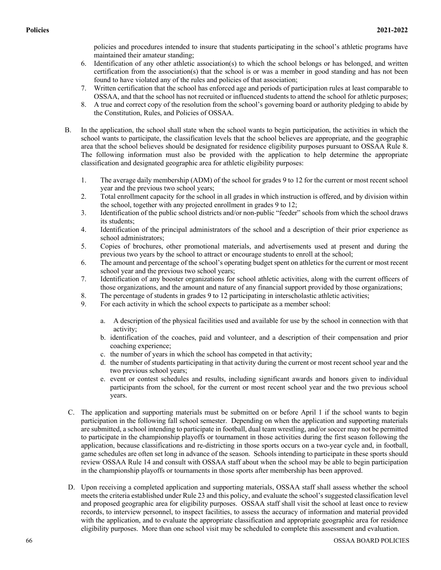policies and procedures intended to insure that students participating in the school's athletic programs have maintained their amateur standing;

- 6. Identification of any other athletic association(s) to which the school belongs or has belonged, and written certification from the association(s) that the school is or was a member in good standing and has not been found to have violated any of the rules and policies of that association;
- 7. Written certification that the school has enforced age and periods of participation rules at least comparable to OSSAA, and that the school has not recruited or influenced students to attend the school for athletic purposes;
- 8. A true and correct copy of the resolution from the school's governing board or authority pledging to abide by the Constitution, Rules, and Policies of OSSAA.
- B. In the application, the school shall state when the school wants to begin participation, the activities in which the school wants to participate, the classification levels that the school believes are appropriate, and the geographic area that the school believes should be designated for residence eligibility purposes pursuant to OSSAA Rule 8. The following information must also be provided with the application to help determine the appropriate classification and designated geographic area for athletic eligibility purposes:
	- 1. The average daily membership (ADM) of the school for grades 9 to 12 for the current or most recent school year and the previous two school years;
	- 2. Total enrollment capacity for the school in all grades in which instruction is offered, and by division within the school, together with any projected enrollment in grades 9 to 12;
	- 3. Identification of the public school districts and/or non-public "feeder" schools from which the school draws its students;
	- 4. Identification of the principal administrators of the school and a description of their prior experience as school administrators;
	- 5. Copies of brochures, other promotional materials, and advertisements used at present and during the previous two years by the school to attract or encourage students to enroll at the school;
	- 6. The amount and percentage of the school's operating budget spent on athletics for the current or most recent school year and the previous two school years;
	- 7. Identification of any booster organizations for school athletic activities, along with the current officers of those organizations, and the amount and nature of any financial support provided by those organizations;
	- 8. The percentage of students in grades 9 to 12 participating in interscholastic athletic activities;
	- 9. For each activity in which the school expects to participate as a member school:
		- a. A description of the physical facilities used and available for use by the school in connection with that activity;
		- b. identification of the coaches, paid and volunteer, and a description of their compensation and prior coaching experience;
		- c. the number of years in which the school has competed in that activity;
		- d. the number of students participating in that activity during the current or most recent school year and the two previous school years;
		- e. event or contest schedules and results, including significant awards and honors given to individual participants from the school, for the current or most recent school year and the two previous school years.
- C. The application and supporting materials must be submitted on or before April 1 if the school wants to begin participation in the following fall school semester. Depending on when the application and supporting materials are submitted, a school intending to participate in football, dual team wrestling, and/or soccer may not be permitted to participate in the championship playoffs or tournament in those activities during the first season following the application, because classifications and re-districting in those sports occurs on a two-year cycle and, in football, game schedules are often set long in advance of the season. Schools intending to participate in these sports should review OSSAA Rule 14 and consult with OSSAA staff about when the school may be able to begin participation in the championship playoffs or tournaments in those sports after membership has been approved.
- D. Upon receiving a completed application and supporting materials, OSSAA staff shall assess whether the school meets the criteria established under Rule 23 and this policy, and evaluate the school's suggested classification level and proposed geographic area for eligibility purposes. OSSAA staff shall visit the school at least once to review records, to interview personnel, to inspect facilities, to assess the accuracy of information and material provided with the application, and to evaluate the appropriate classification and appropriate geographic area for residence eligibility purposes. More than one school visit may be scheduled to complete this assessment and evaluation.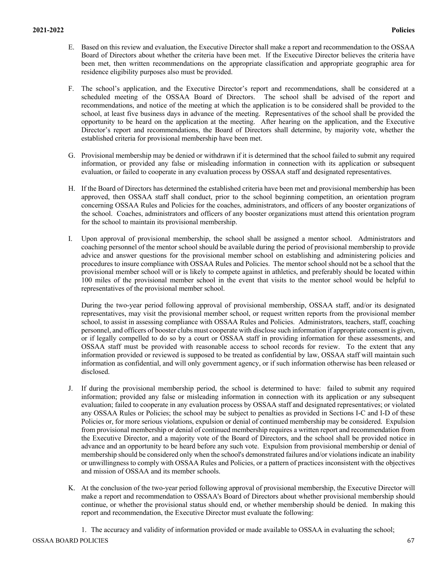- E. Based on this review and evaluation, the Executive Director shall make a report and recommendation to the OSSAA Board of Directors about whether the criteria have been met. If the Executive Director believes the criteria have been met, then written recommendations on the appropriate classification and appropriate geographic area for residence eligibility purposes also must be provided.
- F. The school's application, and the Executive Director's report and recommendations, shall be considered at a scheduled meeting of the OSSAA Board of Directors. The school shall be advised of the report and recommendations, and notice of the meeting at which the application is to be considered shall be provided to the school, at least five business days in advance of the meeting. Representatives of the school shall be provided the opportunity to be heard on the application at the meeting. After hearing on the application, and the Executive Director's report and recommendations, the Board of Directors shall determine, by majority vote, whether the established criteria for provisional membership have been met.
- G. Provisional membership may be denied or withdrawn if it is determined that the school failed to submit any required information, or provided any false or misleading information in connection with its application or subsequent evaluation, or failed to cooperate in any evaluation process by OSSAA staff and designated representatives.
- H. If the Board of Directors has determined the established criteria have been met and provisional membership has been approved, then OSSAA staff shall conduct, prior to the school beginning competition, an orientation program concerning OSSAA Rules and Policies for the coaches, administrators, and officers of any booster organizations of the school. Coaches, administrators and officers of any booster organizations must attend this orientation program for the school to maintain its provisional membership.
- I. Upon approval of provisional membership, the school shall be assigned a mentor school. Administrators and coaching personnel of the mentor school should be available during the period of provisional membership to provide advice and answer questions for the provisional member school on establishing and administering policies and procedures to insure compliance with OSSAA Rules and Policies. The mentor school should not be a school that the provisional member school will or is likely to compete against in athletics, and preferably should be located within 100 miles of the provisional member school in the event that visits to the mentor school would be helpful to representatives of the provisional member school.

During the two-year period following approval of provisional membership, OSSAA staff, and/or its designated representatives, may visit the provisional member school, or request written reports from the provisional member school, to assist in assessing compliance with OSSAA Rules and Policies. Administrators, teachers, staff, coaching personnel, and officers of booster clubs must cooperate with disclose such information if appropriate consent is given, or if legally compelled to do so by a court or OSSAA staff in providing information for these assessments, and OSSAA staff must be provided with reasonable access to school records for review. To the extent that any information provided or reviewed is supposed to be treated as confidential by law, OSSAA staff will maintain such information as confidential, and will only government agency, or if such information otherwise has been released or disclosed.

- J. If during the provisional membership period, the school is determined to have: failed to submit any required information; provided any false or misleading information in connection with its application or any subsequent evaluation; failed to cooperate in any evaluation process by OSSAA staff and designated representatives; or violated any OSSAA Rules or Policies; the school may be subject to penalties as provided in Sections I-C and I-D of these Policies or, for more serious violations, expulsion or denial of continued membership may be considered. Expulsion from provisional membership or denial of continued membership requires a written report and recommendation from the Executive Director, and a majority vote of the Board of Directors, and the school shall be provided notice in advance and an opportunity to be heard before any such vote. Expulsion from provisional membership or denial of membership should be considered only when the school's demonstrated failures and/or violations indicate an inability or unwillingness to comply with OSSAA Rules and Policies, or a pattern of practices inconsistent with the objectives and mission of OSSAA and its member schools.
- K. At the conclusion of the two-year period following approval of provisional membership, the Executive Director will make a report and recommendation to OSSAA's Board of Directors about whether provisional membership should continue, or whether the provisional status should end, or whether membership should be denied. In making this report and recommendation, the Executive Director must evaluate the following:

OSSAA BOARD POLICIES 67 1. The accuracy and validity of information provided or made available to OSSAA in evaluating the school;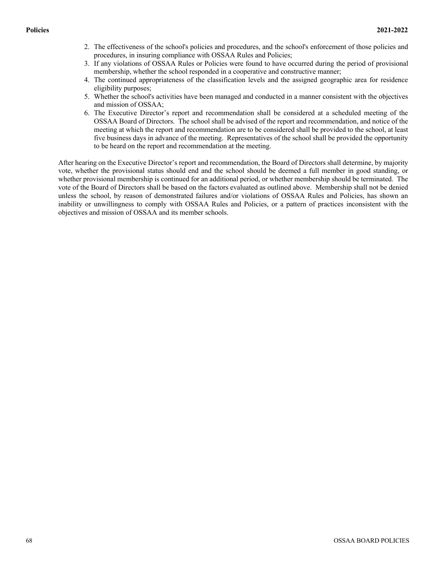- 2. The effectiveness of the school's policies and procedures, and the school's enforcement of those policies and procedures, in insuring compliance with OSSAA Rules and Policies;
- 3. If any violations of OSSAA Rules or Policies were found to have occurred during the period of provisional membership, whether the school responded in a cooperative and constructive manner;
- 4. The continued appropriateness of the classification levels and the assigned geographic area for residence eligibility purposes;
- 5. Whether the school's activities have been managed and conducted in a manner consistent with the objectives and mission of OSSAA;
- 6. The Executive Director's report and recommendation shall be considered at a scheduled meeting of the OSSAA Board of Directors. The school shall be advised of the report and recommendation, and notice of the meeting at which the report and recommendation are to be considered shall be provided to the school, at least five business days in advance of the meeting. Representatives of the school shall be provided the opportunity to be heard on the report and recommendation at the meeting.

After hearing on the Executive Director's report and recommendation, the Board of Directors shall determine, by majority vote, whether the provisional status should end and the school should be deemed a full member in good standing, or whether provisional membership is continued for an additional period, or whether membership should be terminated. The vote of the Board of Directors shall be based on the factors evaluated as outlined above. Membership shall not be denied unless the school, by reason of demonstrated failures and/or violations of OSSAA Rules and Policies, has shown an inability or unwillingness to comply with OSSAA Rules and Policies, or a pattern of practices inconsistent with the objectives and mission of OSSAA and its member schools.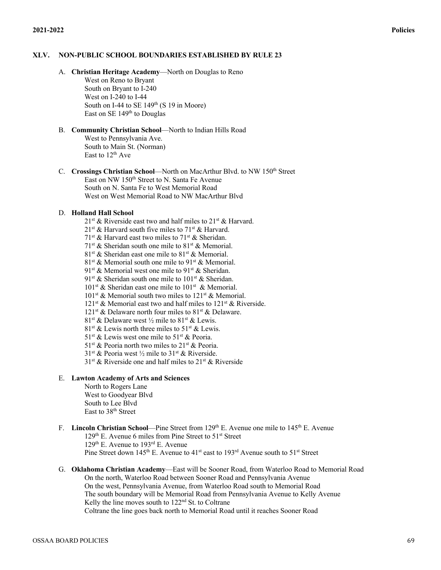## **XLV. NON-PUBLIC SCHOOL BOUNDARIES ESTABLISHED BY RULE 23**

A. **Christian Heritage Academy**—North on Douglas to Reno

West on Reno to Bryant South on Bryant to I-240 West on I-240 to I-44 South on I-44 to SE  $149<sup>th</sup>$  (S 19 in Moore) East on SE 149<sup>th</sup> to Douglas

- B. **Community Christian School**—North to Indian Hills Road West to Pennsylvania Ave. South to Main St. (Norman) East to  $12^{th}$  Ave
- C. **Crossings Christian School—North on MacArthur Blvd. to NW 150<sup>th</sup> Street** East on NW 150<sup>th</sup> Street to N. Santa Fe Avenue South on N. Santa Fe to West Memorial Road West on West Memorial Road to NW MacArthur Blvd

# D. **Holland Hall School**

- $21^{st}$  & Riverside east two and half miles to  $21^{st}$  & Harvard.
- $21^{st}$  & Harvard south five miles to  $71^{st}$  & Harvard.
- $71<sup>st</sup>$  & Harvard east two miles to  $71<sup>st</sup>$  & Sheridan.
- $71<sup>st</sup>$  & Sheridan south one mile to  $81<sup>st</sup>$  & Memorial.
- $81<sup>st</sup>$  & Sheridan east one mile to  $81<sup>st</sup>$  & Memorial.
- $81<sup>st</sup>$  & Memorial south one mile to  $91<sup>st</sup>$  & Memorial.
- $91<sup>st</sup>$  & Memorial west one mile to  $91<sup>st</sup>$  & Sheridan.
- 91<sup>st</sup> & Sheridan south one mile to 101<sup>st</sup> & Sheridan.
- $101<sup>st</sup>$  & Sheridan east one mile to  $101<sup>st</sup>$  & Memorial.
- $101<sup>st</sup>$  & Memorial south two miles to  $121<sup>st</sup>$  & Memorial.
- $121$ <sup>st</sup> & Memorial east two and half miles to  $121$ <sup>st</sup> & Riverside.
- $121^{st}$  & Delaware north four miles to  $81^{st}$  & Delaware.
- 81<sup>st</sup> & Delaware west  $\frac{1}{2}$  mile to 81<sup>st</sup> & Lewis.
- $81<sup>st</sup>$  & Lewis north three miles to  $51<sup>st</sup>$  & Lewis.
- $51<sup>st</sup>$  & Lewis west one mile to  $51<sup>st</sup>$  & Peoria.
- $51<sup>st</sup>$  & Peoria north two miles to  $21<sup>st</sup>$  & Peoria.
- $31<sup>st</sup>$  & Peoria west  $\frac{1}{2}$  mile to  $31<sup>st</sup>$  & Riverside.
- $31<sup>st</sup>$  & Riverside one and half miles to  $21<sup>st</sup>$  & Riverside

# E. **Lawton Academy of Arts and Sciences**

- North to Rogers Lane West to Goodyear Blvd South to Lee Blvd East to 38th Street
- F. **Lincoln Christian School**—Pine Street from 129th E. Avenue one mile to 145th E. Avenue 129<sup>th</sup> E. Avenue 6 miles from Pine Street to  $51<sup>st</sup>$  Street 129th E. Avenue to 193rd E. Avenue Pine Street down 145<sup>th</sup> E. Avenue to 41<sup>st</sup> east to 193<sup>rd</sup> Avenue south to 51<sup>st</sup> Street
- G. **Oklahoma Christian Academy**—East will be Sooner Road, from Waterloo Road to Memorial Road On the north, Waterloo Road between Sooner Road and Pennsylvania Avenue On the west, Pennsylvania Avenue, from Waterloo Road south to Memorial Road The south boundary will be Memorial Road from Pennsylvania Avenue to Kelly Avenue Kelly the line moves south to 122<sup>nd</sup> St. to Coltrane Coltrane the line goes back north to Memorial Road until it reaches Sooner Road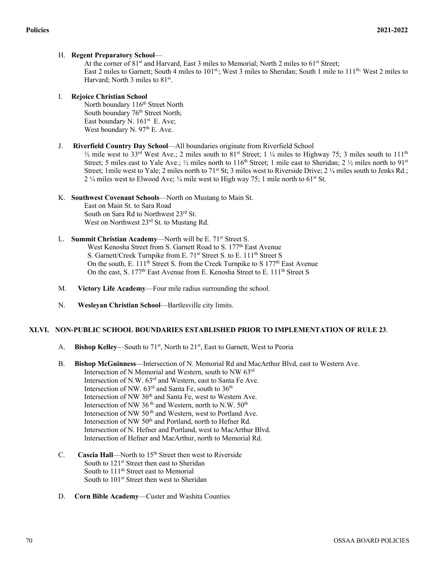# H. **Regent Preparatory School**—

At the corner of 81<sup>st</sup> and Harvard, East 3 miles to Memorial; North 2 miles to 61<sup>st</sup> Street; East 2 miles to Garnett; South 4 miles to 101<sup>st;</sup>; West 3 miles to Sheridan; South 1 mile to 111<sup>th;</sup> West 2 miles to Harvard; North 3 miles to  $81<sup>st</sup>$ .

# I. **Rejoice Christian School**

North boundary 116<sup>th</sup> Street North South boundary 76<sup>th</sup> Street North; East boundary N. 161<sup>st</sup> E. Ave; West boundary N.  $97<sup>th</sup>$  E. Ave.

# J. **Riverfield Country Day School**—All boundaries originate from Riverfield School

 $\frac{1}{2}$  mile west to 33<sup>rd</sup> West Ave.; 2 miles south to 81<sup>st</sup> Street; 1  $\frac{1}{4}$  miles to Highway 75; 3 miles south to 111<sup>th</sup> Street; 5 miles east to Yale Ave.;  $\frac{1}{2}$  miles north to 116<sup>th</sup> Street; 1 mile east to Sheridan; 2  $\frac{1}{2}$  miles north to 91<sup>st</sup> Street; 1mile west to Yale; 2 miles north to 71<sup>st</sup> St; 3 miles west to Riverside Drive; 2 ¼ miles south to Jenks Rd.; 2 ¼ miles west to Elwood Ave; ¼ mile west to High way 75; 1 mile north to 61<sup>st</sup> St.

# K. **Southwest Covenant Schools**—North on Mustang to Main St.

East on Main St. to Sara Road South on Sara Rd to Northwest 23rd St. West on Northwest 23<sup>rd</sup> St. to Mustang Rd.

- L. **Summit Christian Academy**—North will be E. 71<sup>st</sup> Street S. West Kenosha Street from S. Garnett Road to S. 177<sup>th</sup> East Avenue S. Garnett/Creek Turnpike from E. 71<sup>st</sup> Street S. to E. 111<sup>th</sup> Street S On the south, E. 111<sup>th</sup> Street S. from the Creek Turnpike to S  $177<sup>th</sup>$  East Avenue On the east, S. 177<sup>th</sup> East Avenue from E. Kenosha Street to E. 111<sup>th</sup> Street S
- M. **Victory Life Academy**—Four mile radius surrounding the school.
- N. **Wesleyan Christian School**—Bartlesville city limits.

# **XLVI. NON-PUBLIC SCHOOL BOUNDARIES ESTABLISHED PRIOR TO IMPLEMENTATION OF RULE 23**.

- A. **Bishop Kelley**—South to 71<sup>st</sup>, North to 21<sup>st</sup>, East to Garnett, West to Peoria
- B. **Bishop McGuinness**—Intersection of N. Memorial Rd and MacArthur Blvd, east to Western Ave. Intersection of N Memorial and Western, south to NW 63rd Intersection of N.W. 63rd and Western, east to Santa Fe Ave. Intersection of NW.  $63^{\text{rd}}$  and Santa Fe, south to  $36^{\text{th}}$ Intersection of NW 36<sup>th</sup> and Santa Fe, west to Western Ave. Intersection of NW 36<sup>th</sup> and Western, north to N.W.  $50<sup>th</sup>$ Intersection of NW 50<sup>th</sup> and Western, west to Portland Ave. Intersection of NW 50<sup>th</sup> and Portland, north to Hefner Rd. Intersection of N. Hefner and Portland, west to MacArthur Blvd. Intersection of Hefner and MacArthur, north to Memorial Rd.
- C. **Cascia Hall**—North to 15<sup>th</sup> Street then west to Riverside South to 121<sup>st</sup> Street then east to Sheridan South to 111<sup>th</sup> Street east to Memorial South to 101<sup>st</sup> Street then west to Sheridan
- D. **Corn Bible Academy**—Custer and Washita Counties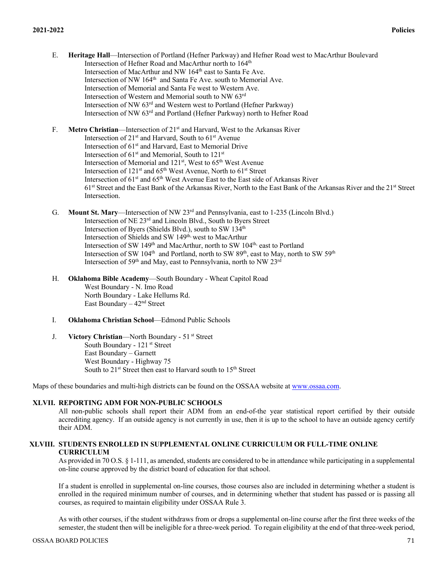- E. **Heritage Hall**—Intersection of Portland (Hefner Parkway) and Hefner Road west to MacArthur Boulevard Intersection of Hefner Road and MacArthur north to 164<sup>th</sup> Intersection of MacArthur and NW 164<sup>th</sup> east to Santa Fe Ave. Intersection of NW 164<sup>th</sup> and Santa Fe Ave. south to Memorial Ave. Intersection of Memorial and Santa Fe west to Western Ave. Intersection of Western and Memorial south to NW 63rd Intersection of NW 63rd and Western west to Portland (Hefner Parkway) Intersection of NW 63rd and Portland (Hefner Parkway) north to Hefner Road
- F. **Metro Christian**—Intersection of 21st and Harvard, West to the Arkansas River Intersection of  $21<sup>st</sup>$  and Harvard, South to  $61<sup>st</sup>$  Avenue Intersection of 61st and Harvard, East to Memorial Drive Intersection of 61<sup>st</sup> and Memorial, South to 121<sup>st</sup> Intersection of Memorial and 121<sup>st</sup>, West to 65<sup>th</sup> West Avenue Intersection of  $121<sup>st</sup>$  and  $65<sup>th</sup>$  West Avenue, North to  $61<sup>st</sup>$  Street Intersection of  $61<sup>st</sup>$  and  $65<sup>th</sup>$  West Avenue East to the East side of Arkansas River  $61<sup>st</sup>$  Street and the East Bank of the Arkansas River. North to the East Bank of the Arkansas River and the  $21<sup>st</sup>$  Street Intersection.
- G. **Mount St. Mary**—Intersection of NW 23rd and Pennsylvania, east to 1-235 (Lincoln Blvd.) Intersection of NE 23rd and Lincoln Blvd., South to Byers Street Intersection of Byers (Shields Blvd.), south to SW 134<sup>th</sup> Intersection of Shields and SW 149th, west to MacArthur Intersection of SW 149<sup>th</sup> and MacArthur, north to SW 104<sup>th,</sup> east to Portland Intersection of SW 104<sup>th</sup> and Portland, north to SW 89<sup>th</sup>, east to May, north to SW 59<sup>th</sup> Intersection of 59<sup>th</sup> and May, east to Pennsylvania, north to NW 23<sup>rd</sup>
- H. **Oklahoma Bible Academy**—South Boundary Wheat Capitol Road West Boundary - N. Imo Road North Boundary - Lake Hellums Rd. East Boundary – 42nd Street
- I. **Oklahoma Christian School**—Edmond Public Schools
- J. **Victory Christian**—North Boundary 51 st Street South Boundary - 121<sup>st</sup> Street East Boundary – Garnett West Boundary - Highway 75 South to 21<sup>st</sup> Street then east to Harvard south to 15<sup>th</sup> Street

Maps of these boundaries and multi-high districts can be found on the OSSAA website at www.ossaa.com.

#### **XLVII. REPORTING ADM FOR NON-PUBLIC SCHOOLS**

All non-public schools shall report their ADM from an end-of-the year statistical report certified by their outside accrediting agency. If an outside agency is not currently in use, then it is up to the school to have an outside agency certify their ADM.

# **XLVIII. STUDENTS ENROLLED IN SUPPLEMENTAL ONLINE CURRICULUM OR FULL-TIME ONLINE CURRICULUM**

As provided in 70 O.S. § 1-111, as amended, students are considered to be in attendance while participating in a supplemental on-line course approved by the district board of education for that school.

If a student is enrolled in supplemental on-line courses, those courses also are included in determining whether a student is enrolled in the required minimum number of courses, and in determining whether that student has passed or is passing all courses, as required to maintain eligibility under OSSAA Rule 3.

As with other courses, if the student withdraws from or drops a supplemental on-line course after the first three weeks of the semester, the student then will be ineligible for a three-week period. To regain eligibility at the end of that three-week period,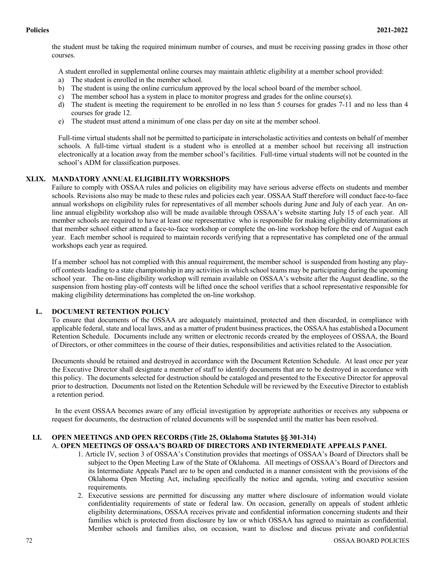the student must be taking the required minimum number of courses, and must be receiving passing grades in those other courses.

A student enrolled in supplemental online courses may maintain athletic eligibility at a member school provided:

- a) The student is enrolled in the member school.
- b) The student is using the online curriculum approved by the local school board of the member school.
- c) The member school has a system in place to monitor progress and grades for the online course(s).
- d) The student is meeting the requirement to be enrolled in no less than 5 courses for grades 7-11 and no less than 4 courses for grade 12.
- e) The student must attend a minimum of one class per day on site at the member school.

Full-time virtual students shall not be permitted to participate in interscholastic activities and contests on behalf of member schools. A full-time virtual student is a student who is enrolled at a member school but receiving all instruction electronically at a location away from the member school's facilities. Full-time virtual students will not be counted in the school's ADM for classification purposes.

# **XLIX. MANDATORY ANNUAL ELIGIBILITY WORKSHOPS**

Failure to comply with OSSAA rules and policies on eligibility may have serious adverse effects on students and member schools. Revisions also may be made to these rules and policies each year. OSSAA Staff therefore will conduct face-to-face annual workshops on eligibility rules for representatives of all member schools during June and July of each year. An online annual eligibility workshop also will be made available through OSSAA's website starting July 15 of each year. All member schools are required to have at least one representative who is responsible for making eligibility determinations at that member school either attend a face-to-face workshop or complete the on-line workshop before the end of August each year. Each member school is required to maintain records verifying that a representative has completed one of the annual workshops each year as required.

If a member school has not complied with this annual requirement, the member school is suspended from hosting any playoff contests leading to a state championship in any activities in which school teams may be participating during the upcoming school year. The on-line eligibility workshop will remain available on OSSAA's website after the August deadline, so the suspension from hosting play-off contests will be lifted once the school verifies that a school representative responsible for making eligibility determinations has completed the on-line workshop.

# **L. DOCUMENT RETENTION POLICY**

To ensure that documents of the OSSAA are adequately maintained, protected and then discarded, in compliance with applicable federal, state and local laws, and as a matter of prudent business practices, the OSSAA has established a Document Retention Schedule. Documents include any written or electronic records created by the employees of OSSAA, the Board of Directors, or other committees in the course of their duties, responsibilities and activities related to the Association.

Documents should be retained and destroyed in accordance with the Document Retention Schedule. At least once per year the Executive Director shall designate a member of staff to identify documents that are to be destroyed in accordance with this policy. The documents selected for destruction should be cataloged and presented to the Executive Director for approval prior to destruction. Documents not listed on the Retention Schedule will be reviewed by the Executive Director to establish a retention period.

In the event OSSAA becomes aware of any official investigation by appropriate authorities or receives any subpoena or request for documents, the destruction of related documents will be suspended until the matter has been resolved.

#### **LI. OPEN MEETINGS AND OPEN RECORDS (Title 25, Oklahoma Statutes §§ 301-314)**  A. **OPEN MEETINGS OF OSSAA'S BOARD OF DIRECTORS AND INTERMEDIATE APPEALS PANEL**

- 1. Article IV, section 3 of OSSAA's Constitution provides that meetings of OSSAA's Board of Directors shall be subject to the Open Meeting Law of the State of Oklahoma. All meetings of OSSAA's Board of Directors and its Intermediate Appeals Panel are to be open and conducted in a manner consistent with the provisions of the Oklahoma Open Meeting Act, including specifically the notice and agenda, voting and executive session requirements.
- 2. Executive sessions are permitted for discussing any matter where disclosure of information would violate confidentiality requirements of state or federal law. On occasion, generally on appeals of student athletic eligibility determinations, OSSAA receives private and confidential information concerning students and their families which is protected from disclosure by law or which OSSAA has agreed to maintain as confidential. Member schools and families also, on occasion, want to disclose and discuss private and confidential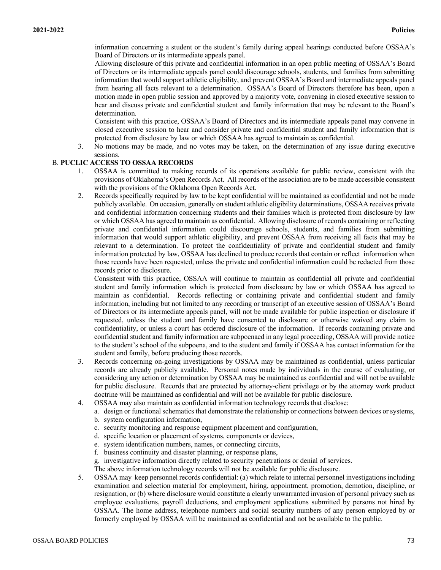information concerning a student or the student's family during appeal hearings conducted before OSSAA's Board of Directors or its intermediate appeals panel.

Allowing disclosure of this private and confidential information in an open public meeting of OSSAA's Board of Directors or its intermediate appeals panel could discourage schools, students, and families from submitting information that would support athletic eligibility, and prevent OSSAA's Board and intermediate appeals panel from hearing all facts relevant to a determination. OSSAA's Board of Directors therefore has been, upon a motion made in open public session and approved by a majority vote, convening in closed executive session to hear and discuss private and confidential student and family information that may be relevant to the Board's determination.

Consistent with this practice, OSSAA's Board of Directors and its intermediate appeals panel may convene in closed executive session to hear and consider private and confidential student and family information that is protected from disclosure by law or which OSSAA has agreed to maintain as confidential.

3. No motions may be made, and no votes may be taken, on the determination of any issue during executive sessions.

# B. **PUCLIC ACCESS TO OSSAA RECORDS**

- 1. OSSAA is committed to making records of its operations available for public review, consistent with the provisions of Oklahoma's Open Records Act. All records of the association are to be made accessible consistent with the provisions of the Oklahoma Open Records Act.
- 2. Records specifically required by law to be kept confidential will be maintained as confidential and not be made publicly available. On occasion, generally on student athletic eligibility determinations, OSSAA receives private and confidential information concerning students and their families which is protected from disclosure by law or which OSSAA has agreed to maintain as confidential. Allowing disclosure of records containing or reflecting private and confidential information could discourage schools, students, and families from submitting information that would support athletic eligibility, and prevent OSSAA from receiving all facts that may be relevant to a determination. To protect the confidentiality of private and confidential student and family information protected by law, OSSAA has declined to produce records that contain or reflect information when those records have been requested, unless the private and confidential information could be redacted from those records prior to disclosure.

Consistent with this practice, OSSAA will continue to maintain as confidential all private and confidential student and family information which is protected from disclosure by law or which OSSAA has agreed to maintain as confidential. Records reflecting or containing private and confidential student and family information, including but not limited to any recording or transcript of an executive session of OSSAA's Board of Directors or its intermediate appeals panel, will not be made available for public inspection or disclosure if requested, unless the student and family have consented to disclosure or otherwise waived any claim to confidentiality, or unless a court has ordered disclosure of the information. If records containing private and confidential student and family information are subpoenaed in any legal proceeding, OSSAA will provide notice to the student's school of the subpoena, and to the student and family if OSSAA has contact information for the student and family, before producing those records.

- 3. Records concerning on-going investigations by OSSAA may be maintained as confidential, unless particular records are already publicly available. Personal notes made by individuals in the course of evaluating, or considering any action or determination by OSSAA may be maintained as confidential and will not be available for public disclosure. Records that are protected by attorney-client privilege or by the attorney work product doctrine will be maintained as confidential and will not be available for public disclosure.
- 4. OSSAA may also maintain as confidential information technology records that disclose:
	- a. design or functional schematics that demonstrate the relationship or connections between devices or systems, b. system configuration information,
		- c. security monitoring and response equipment placement and configuration,
		- d. specific location or placement of systems, components or devices,
		- e. system identification numbers, names, or connecting circuits,
		- f. business continuity and disaster planning, or response plans,
		- g. investigative information directly related to security penetrations or denial of services.
		- The above information technology records will not be available for public disclosure.
- 5. OSSAA may keep personnel records confidential: (a) which relate to internal personnel investigations including examination and selection material for employment, hiring, appointment, promotion, demotion, discipline, or resignation, or (b) where disclosure would constitute a clearly unwarranted invasion of personal privacy such as employee evaluations, payroll deductions, and employment applications submitted by persons not hired by OSSAA. The home address, telephone numbers and social security numbers of any person employed by or formerly employed by OSSAA will be maintained as confidential and not be available to the public.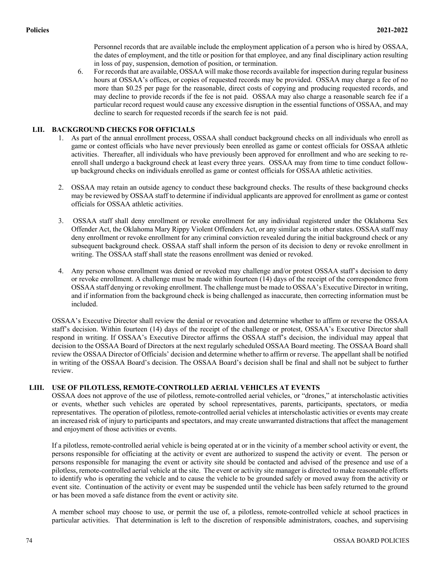Personnel records that are available include the employment application of a person who is hired by OSSAA, the dates of employment, and the title or position for that employee, and any final disciplinary action resulting in loss of pay, suspension, demotion of position, or termination.

6. For records that are available, OSSAA will make those records available for inspection during regular business hours at OSSAA's offices, or copies of requested records may be provided. OSSAA may charge a fee of no more than \$0.25 per page for the reasonable, direct costs of copying and producing requested records, and may decline to provide records if the fee is not paid. OSSAA may also charge a reasonable search fee if a particular record request would cause any excessive disruption in the essential functions of OSSAA, and may decline to search for requested records if the search fee is not paid.

# **LII. BACKGROUND CHECKS FOR OFFICIALS**

- 1. As part of the annual enrollment process, OSSAA shall conduct background checks on all individuals who enroll as game or contest officials who have never previously been enrolled as game or contest officials for OSSAA athletic activities. Thereafter, all individuals who have previously been approved for enrollment and who are seeking to reenroll shall undergo a background check at least every three years. OSSAA may from time to time conduct followup background checks on individuals enrolled as game or contest officials for OSSAA athletic activities.
- 2. OSSAA may retain an outside agency to conduct these background checks. The results of these background checks may be reviewed by OSSAA staff to determine if individual applicants are approved for enrollment as game or contest officials for OSSAA athletic activities.
- 3. OSSAA staff shall deny enrollment or revoke enrollment for any individual registered under the Oklahoma Sex Offender Act, the Oklahoma Mary Rippy Violent Offenders Act, or any similar acts in other states. OSSAA staff may deny enrollment or revoke enrollment for any criminal conviction revealed during the initial background check or any subsequent background check. OSSAA staff shall inform the person of its decision to deny or revoke enrollment in writing. The OSSAA staff shall state the reasons enrollment was denied or revoked.
- 4. Any person whose enrollment was denied or revoked may challenge and/or protest OSSAA staff's decision to deny or revoke enrollment. A challenge must be made within fourteen (14) days of the receipt of the correspondence from OSSAA staff denying or revoking enrollment. The challenge must be made to OSSAA's Executive Director in writing, and if information from the background check is being challenged as inaccurate, then correcting information must be included.

OSSAA's Executive Director shall review the denial or revocation and determine whether to affirm or reverse the OSSAA staff's decision. Within fourteen (14) days of the receipt of the challenge or protest, OSSAA's Executive Director shall respond in writing. If OSSAA's Executive Director affirms the OSSAA staff's decision, the individual may appeal that decision to the OSSAA Board of Directors at the next regularly scheduled OSSAA Board meeting. The OSSAA Board shall review the OSSAA Director of Officials' decision and determine whether to affirm or reverse. The appellant shall be notified in writing of the OSSAA Board's decision. The OSSAA Board's decision shall be final and shall not be subject to further review.

# **LIII. USE OF PILOTLESS, REMOTE-CONTROLLED AERIAL VEHICLES AT EVENTS**

OSSAA does not approve of the use of pilotless, remote-controlled aerial vehicles, or "drones," at interscholastic activities or events, whether such vehicles are operated by school representatives, parents, participants, spectators, or media representatives. The operation of pilotless, remote-controlled aerial vehicles at interscholastic activities or events may create an increased risk of injury to participants and spectators, and may create unwarranted distractions that affect the management and enjoyment of those activities or events.

If a pilotless, remote-controlled aerial vehicle is being operated at or in the vicinity of a member school activity or event, the persons responsible for officiating at the activity or event are authorized to suspend the activity or event. The person or persons responsible for managing the event or activity site should be contacted and advised of the presence and use of a pilotless, remote-controlled aerial vehicle at the site. The event or activity site manager is directed to make reasonable efforts to identify who is operating the vehicle and to cause the vehicle to be grounded safely or moved away from the activity or event site. Continuation of the activity or event may be suspended until the vehicle has been safely returned to the ground or has been moved a safe distance from the event or activity site.

A member school may choose to use, or permit the use of, a pilotless, remote-controlled vehicle at school practices in particular activities. That determination is left to the discretion of responsible administrators, coaches, and supervising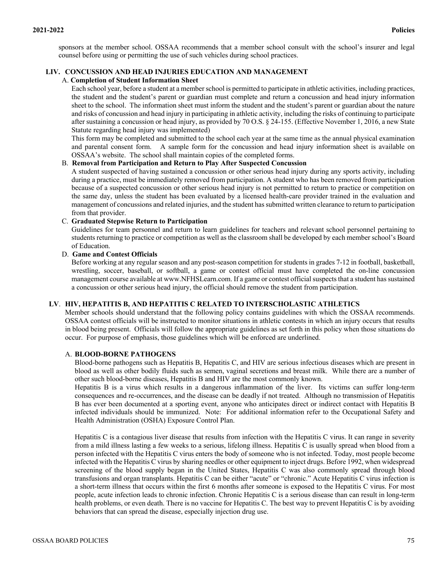sponsors at the member school. OSSAA recommends that a member school consult with the school's insurer and legal counsel before using or permitting the use of such vehicles during school practices.

# **LIV. CONCUSSION AND HEAD INJURIES EDUCATION AND MANAGEMENT**

#### A. **Completion of Student Information Sheet**

Each school year, before a student at a member school is permitted to participate in athletic activities, including practices, the student and the student's parent or guardian must complete and return a concussion and head injury information sheet to the school. The information sheet must inform the student and the student's parent or guardian about the nature and risks of concussion and head injury in participating in athletic activity, including the risks of continuing to participate after sustaining a concussion or head injury, as provided by 70 O.S. § 24-155. (Effective November 1, 2016, a new State Statute regarding head injury was implemented)

This form may be completed and submitted to the school each year at the same time as the annual physical examination and parental consent form. A sample form for the concussion and head injury information sheet is available on OSSAA's website. The school shall maintain copies of the completed forms.

#### B. **Removal from Participation and Return to Play After Suspected Concussion**

A student suspected of having sustained a concussion or other serious head injury during any sports activity, including during a practice, must be immediately removed from participation. A student who has been removed from participation because of a suspected concussion or other serious head injury is not permitted to return to practice or competition on the same day, unless the student has been evaluated by a licensed health-care provider trained in the evaluation and management of concussions and related injuries, and the student has submitted written clearance to return to participation from that provider.

## C. **Graduated Stepwise Return to Participation**

Guidelines for team personnel and return to learn guidelines for teachers and relevant school personnel pertaining to students returning to practice or competition as well as the classroom shall be developed by each member school's Board of Education.

#### D. **Game and Contest Officials**

Before working at any regular season and any post-season competition for students in grades 7-12 in football, basketball, wrestling, soccer, baseball, or softball, a game or contest official must have completed the on-line concussion management course available at www.NFHSLearn.com. If a game or contest official suspects that a student has sustained a concussion or other serious head injury, the official should remove the student from participation.

# **LV**. **HIV, HEPATITIS B, AND HEPATITIS C RELATED TO INTERSCHOLASTIC ATHLETICS**

Member schools should understand that the following policy contains guidelines with which the OSSAA recommends. OSSAA contest officials will be instructed to monitor situations in athletic contests in which an injury occurs that results in blood being present. Officials will follow the appropriate guidelines as set forth in this policy when those situations do occur. For purpose of emphasis, those guidelines which will be enforced are underlined.

#### A. **BLOOD-BORNE PATHOGENS**

Blood-borne pathogens such as Hepatitis B, Hepatitis C, and HIV are serious infectious diseases which are present in blood as well as other bodily fluids such as semen, vaginal secretions and breast milk. While there are a number of other such blood-borne diseases, Hepatitis B and HIV are the most commonly known.

Hepatitis B is a virus which results in a dangerous inflammation of the liver. Its victims can suffer long-term consequences and re-occurrences, and the disease can be deadly if not treated. Although no transmission of Hepatitis B has ever been documented at a sporting event, anyone who anticipates direct or indirect contact with Hepatitis B infected individuals should be immunized. Note: For additional information refer to the Occupational Safety and Health Administration (OSHA) Exposure Control Plan.

Hepatitis C is a contagious liver disease that results from infection with the Hepatitis C virus. It can range in severity from a mild illness lasting a few weeks to a serious, lifelong illness. Hepatitis C is usually spread when blood from a person infected with the Hepatitis C virus enters the body of someone who is not infected. Today, most people become infected with the Hepatitis C virus by sharing needles or other equipment to inject drugs. Before 1992, when widespread screening of the blood supply began in the United States, Hepatitis C was also commonly spread through blood transfusions and organ transplants. Hepatitis C can be either "acute" or "chronic." Acute Hepatitis C virus infection is a short-term illness that occurs within the first 6 months after someone is exposed to the Hepatitis C virus. For most people, acute infection leads to chronic infection. Chronic Hepatitis C is a serious disease than can result in long-term health problems, or even death. There is no vaccine for Hepatitis C. The best way to prevent Hepatitis C is by avoiding behaviors that can spread the disease, especially injection drug use.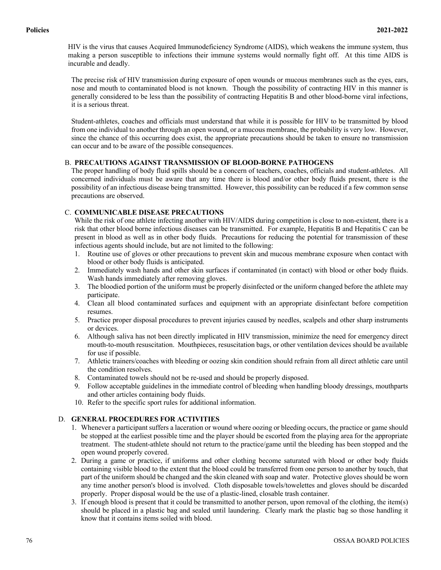HIV is the virus that causes Acquired Immunodeficiency Syndrome (AIDS), which weakens the immune system, thus making a person susceptible to infections their immune systems would normally fight off. At this time AIDS is incurable and deadly.

The precise risk of HIV transmission during exposure of open wounds or mucous membranes such as the eyes, ears, nose and mouth to contaminated blood is not known. Though the possibility of contracting HIV in this manner is generally considered to be less than the possibility of contracting Hepatitis B and other blood-borne viral infections, it is a serious threat.

Student-athletes, coaches and officials must understand that while it is possible for HIV to be transmitted by blood from one individual to another through an open wound, or a mucous membrane, the probability is very low. However, since the chance of this occurring does exist, the appropriate precautions should be taken to ensure no transmission can occur and to be aware of the possible consequences.

# B. **PRECAUTIONS AGAINST TRANSMISSION OF BLOOD-BORNE PATHOGENS**

The proper handling of body fluid spills should be a concern of teachers, coaches, officials and student-athletes. All concerned individuals must be aware that any time there is blood and/or other body fluids present, there is the possibility of an infectious disease being transmitted. However, this possibility can be reduced if a few common sense precautions are observed.

# C. **COMMUNICABLE DISEASE PRECAUTIONS**

While the risk of one athlete infecting another with HIV/AIDS during competition is close to non-existent, there is a risk that other blood borne infectious diseases can be transmitted. For example, Hepatitis B and Hepatitis C can be present in blood as well as in other body fluids. Precautions for reducing the potential for transmission of these infectious agents should include, but are not limited to the following:

- 1. Routine use of gloves or other precautions to prevent skin and mucous membrane exposure when contact with blood or other body fluids is anticipated.
- 2. Immediately wash hands and other skin surfaces if contaminated (in contact) with blood or other body fluids. Wash hands immediately after removing gloves.
- 3. The bloodied portion of the uniform must be properly disinfected or the uniform changed before the athlete may participate.
- 4. Clean all blood contaminated surfaces and equipment with an appropriate disinfectant before competition resumes.
- 5. Practice proper disposal procedures to prevent injuries caused by needles, scalpels and other sharp instruments or devices.
- 6. Although saliva has not been directly implicated in HIV transmission, minimize the need for emergency direct mouth-to-mouth resuscitation. Mouthpieces, resuscitation bags, or other ventilation devices should be available for use if possible.
- 7. Athletic trainers/coaches with bleeding or oozing skin condition should refrain from all direct athletic care until the condition resolves.
- 8. Contaminated towels should not be re-used and should be properly disposed.
- 9. Follow acceptable guidelines in the immediate control of bleeding when handling bloody dressings, mouthparts and other articles containing body fluids.
- 10. Refer to the specific sport rules for additional information.

# D. **GENERAL PROCEDURES FOR ACTIVITIES**

- 1. Whenever a participant suffers a laceration or wound where oozing or bleeding occurs, the practice or game should be stopped at the earliest possible time and the player should be escorted from the playing area for the appropriate treatment. The student-athlete should not return to the practice/game until the bleeding has been stopped and the open wound properly covered.
- 2. During a game or practice, if uniforms and other clothing become saturated with blood or other body fluids containing visible blood to the extent that the blood could be transferred from one person to another by touch, that part of the uniform should be changed and the skin cleaned with soap and water. Protective gloves should be worn any time another person's blood is involved. Cloth disposable towels/towelettes and gloves should be discarded properly. Proper disposal would be the use of a plastic-lined, closable trash container.
- 3. If enough blood is present that it could be transmitted to another person, upon removal of the clothing, the item(s) should be placed in a plastic bag and sealed until laundering. Clearly mark the plastic bag so those handling it know that it contains items soiled with blood.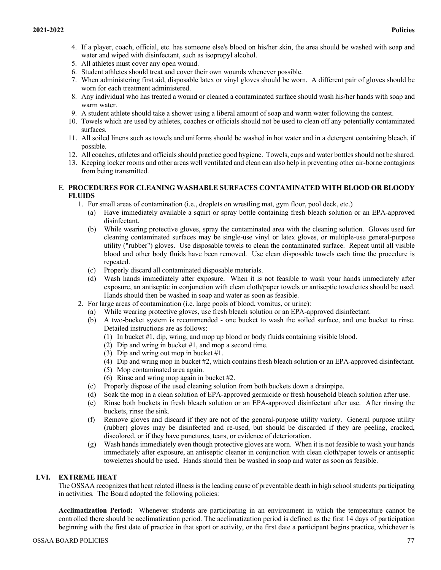- 4. If a player, coach, official, etc. has someone else's blood on his/her skin, the area should be washed with soap and water and wiped with disinfectant, such as isopropyl alcohol.
- 5. All athletes must cover any open wound.
- 6. Student athletes should treat and cover their own wounds whenever possible.
- 7. When administering first aid, disposable latex or vinyl gloves should be worn. A different pair of gloves should be worn for each treatment administered.
- 8. Any individual who has treated a wound or cleaned a contaminated surface should wash his/her hands with soap and warm water.
- 9. A student athlete should take a shower using a liberal amount of soap and warm water following the contest.
- 10. Towels which are used by athletes, coaches or officials should not be used to clean off any potentially contaminated surfaces.
- 11. All soiled linens such as towels and uniforms should be washed in hot water and in a detergent containing bleach, if possible.
- 12. All coaches, athletes and officials should practice good hygiene. Towels, cups and water bottles should not be shared.
- 13. Keeping locker rooms and other areas well ventilated and clean can also help in preventing other air-borne contagions from being transmitted.

# E. **PROCEDURES FOR CLEANING WASHABLE SURFACES CONTAMINATED WITH BLOOD OR BLOODY FLUIDS**

- 1. For small areas of contamination (i.e., droplets on wrestling mat, gym floor, pool deck, etc.)
	- (a) Have immediately available a squirt or spray bottle containing fresh bleach solution or an EPA-approved disinfectant.
	- (b) While wearing protective gloves, spray the contaminated area with the cleaning solution. Gloves used for cleaning contaminated surfaces may be single-use vinyl or latex gloves, or multiple-use general-purpose utility ("rubber") gloves. Use disposable towels to clean the contaminated surface. Repeat until all visible blood and other body fluids have been removed. Use clean disposable towels each time the procedure is repeated.
	- (c) Properly discard all contaminated disposable materials.
	- (d) Wash hands immediately after exposure. When it is not feasible to wash your hands immediately after exposure, an antiseptic in conjunction with clean cloth/paper towels or antiseptic towelettes should be used. Hands should then be washed in soap and water as soon as feasible.
- 2. For large areas of contamination (i.e. large pools of blood, vomitus, or urine):
	- (a) While wearing protective gloves, use fresh bleach solution or an EPA-approved disinfectant.
	- (b) A two-bucket system is recommended one bucket to wash the soiled surface, and one bucket to rinse. Detailed instructions are as follows:
		- (1) In bucket #1, dip, wring, and mop up blood or body fluids containing visible blood.
		- (2) Dip and wring in bucket #1, and mop a second time.
		- (3) Dip and wring out mop in bucket #1.
		- (4) Dip and wring mop in bucket #2, which contains fresh bleach solution or an EPA-approved disinfectant.
		- (5) Mop contaminated area again.
		- (6) Rinse and wring mop again in bucket #2.
	- (c) Properly dispose of the used cleaning solution from both buckets down a drainpipe.
	- (d) Soak the mop in a clean solution of EPA-approved germicide or fresh household bleach solution after use.
	- (e) Rinse both buckets in fresh bleach solution or an EPA-approved disinfectant after use. After rinsing the buckets, rinse the sink.
	- (f) Remove gloves and discard if they are not of the general-purpose utility variety. General purpose utility (rubber) gloves may be disinfected and re-used, but should be discarded if they are peeling, cracked, discolored, or if they have punctures, tears, or evidence of deterioration.
	- (g) Wash hands immediately even though protective gloves are worn. When it is not feasible to wash your hands immediately after exposure, an antiseptic cleaner in conjunction with clean cloth/paper towels or antiseptic towelettes should be used. Hands should then be washed in soap and water as soon as feasible.

# **LVI. EXTREME HEAT**

The OSSAA recognizes that heat related illness is the leading cause of preventable death in high school students participating in activities. The Board adopted the following policies:

**Acclimatization Period:** Whenever students are participating in an environment in which the temperature cannot be controlled there should be acclimatization period. The acclimatization period is defined as the first 14 days of participation beginning with the first date of practice in that sport or activity, or the first date a participant begins practice, whichever is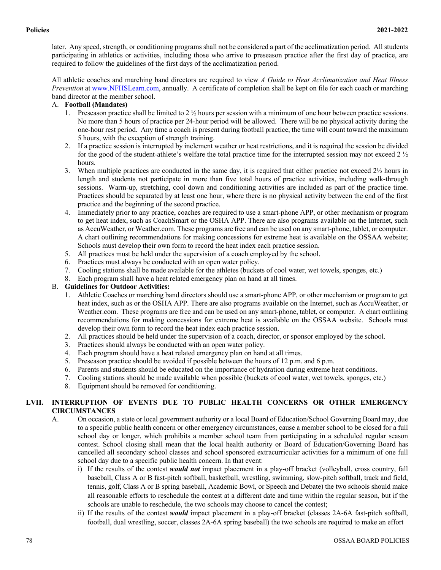later. Any speed, strength, or conditioning programs shall not be considered a part of the acclimatization period. All students participating in athletics or activities, including those who arrive to preseason practice after the first day of practice, are required to follow the guidelines of the first days of the acclimatization period.

All athletic coaches and marching band directors are required to view *A Guide to Heat Acclimatization and Heat Illness Prevention* at www.NFHSLearn.com, annually. A certificate of completion shall be kept on file for each coach or marching band director at the member school.

# A. **Football (Mandates)**

- 1. Preseason practice shall be limited to 2 ½ hours per session with a minimum of one hour between practice sessions. No more than 5 hours of practice per 24-hour period will be allowed. There will be no physical activity during the one-hour rest period. Any time a coach is present during football practice, the time will count toward the maximum 5 hours, with the exception of strength training.
- 2. If a practice session is interrupted by inclement weather or heat restrictions, and it is required the session be divided for the good of the student-athlete's welfare the total practice time for the interrupted session may not exceed 2 ½ hours.
- 3. When multiple practices are conducted in the same day, it is required that either practice not exceed  $2\frac{1}{2}$  hours in length and students not participate in more than five total hours of practice activities, including walk-through sessions. Warm-up, stretching, cool down and conditioning activities are included as part of the practice time. Practices should be separated by at least one hour, where there is no physical activity between the end of the first practice and the beginning of the second practice.
- 4. Immediately prior to any practice, coaches are required to use a smart-phone APP, or other mechanism or program to get heat index, such as CoachSmart or the OSHA APP. There are also programs available on the Internet, such as AccuWeather, or Weather.com. These programs are free and can be used on any smart-phone, tablet, or computer. A chart outlining recommendations for making concessions for extreme heat is available on the OSSAA website; Schools must develop their own form to record the heat index each practice session.
- 5. All practices must be held under the supervision of a coach employed by the school.
- 6. Practices must always be conducted with an open water policy.
- 7. Cooling stations shall be made available for the athletes (buckets of cool water, wet towels, sponges, etc.)
- 8. Each program shall have a heat related emergency plan on hand at all times.

# B. **Guidelines for Outdoor Activities:**

- 1. Athletic Coaches or marching band directors should use a smart-phone APP, or other mechanism or program to get heat index, such as or the OSHA APP. There are also programs available on the Internet, such as AccuWeather, or Weather.com. These programs are free and can be used on any smart-phone, tablet, or computer. A chart outlining recommendations for making concessions for extreme heat is available on the OSSAA website. Schools must develop their own form to record the heat index each practice session.
- 2. All practices should be held under the supervision of a coach, director, or sponsor employed by the school.
- 3. Practices should always be conducted with an open water policy.
- 4. Each program should have a heat related emergency plan on hand at all times.
- 5. Preseason practice should be avoided if possible between the hours of 12 p.m. and 6 p.m.
- 6. Parents and students should be educated on the importance of hydration during extreme heat conditions.
- 7. Cooling stations should be made available when possible (buckets of cool water, wet towels, sponges, etc.)
- 8. Equipment should be removed for conditioning.

# **LVII. INTERRUPTION OF EVENTS DUE TO PUBLIC HEALTH CONCERNS OR OTHER EMERGENCY CIRCUMSTANCES**

- A. On occasion, a state or local government authority or a local Board of Education/School Governing Board may, due to a specific public health concern or other emergency circumstances, cause a member school to be closed for a full school day or longer, which prohibits a member school team from participating in a scheduled regular season contest. School closing shall mean that the local health authority or Board of Education/Governing Board has cancelled all secondary school classes and school sponsored extracurricular activities for a minimum of one full school day due to a specific public health concern. In that event:
	- i) If the results of the contest *would not* impact placement in a play-off bracket (volleyball, cross country, fall baseball, Class A or B fast-pitch softball, basketball, wrestling, swimming, slow-pitch softball, track and field, tennis, golf, Class A or B spring baseball, Academic Bowl, or Speech and Debate) the two schools should make all reasonable efforts to reschedule the contest at a different date and time within the regular season, but if the schools are unable to reschedule, the two schools may choose to cancel the contest;
	- ii) If the results of the contest *would* impact placement in a play-off bracket (classes 2A-6A fast-pitch softball, football, dual wrestling, soccer, classes 2A-6A spring baseball) the two schools are required to make an effort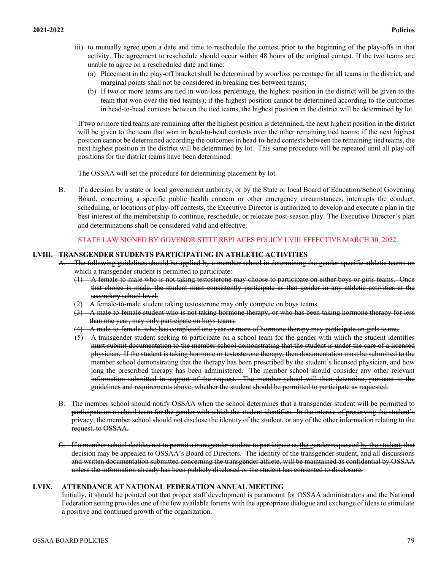- iii) to mutually agree upon a date and time to reschedule the contest prior to the beginning of the play-offs in that activity. The agreement to reschedule should occur within 48 hours of the original contest. If the two teams are unable to agree on a rescheduled date and time:
	- (a) Placement in the play-off bracket shall be determined by won/loss percentage for all teams in the district, and marginal points shall not be considered in breaking ties between teams;
	- (b) If two or more teams are tied in won-loss percentage, the highest position in the district will be given to the team that won over the tied team(s); if the highest position cannot be determined according to the outcomes in head-to-head contests between the tied teams, the highest position in the district will be determined by lot.

If two or more tied teams are remaining after the highest position is determined, the next highest position in the district will be given to the team that won in head-to-head contests over the other remaining tied teams; if the next highest position cannot be determined according the outcomes in head-to-head contests between the remaining tied teams, the next highest position in the district will be determined by lot. This same procedure will be repeated until all play-off positions for the district teams have been determined.

The OSSAA will set the procedure for determining placement by lot.

B. If a decision by a state or local government authority, or by the State or local Board of Education/School Governing Board, concerning a specific public health concern or other emergency circumstances, interrupts the conduct, scheduling, or locations of play-off contests, the Executive Director is authorized to develop and execute a plan in the best interest of the membership to continue, reschedule, or relocate post-season play. The Executive Director's plan and determinations shall be considered valid and effective.

## STATE LAW SIGNED BY GOVENOR STITT REPLACES POLICY LVIII EFFECTIVE MARCH 30, 2022.

### **LVIII. TRANSGENDER STUDENTS PARTICIPATING IN ATHLETIC ACTIVITIES**

- A. The following guidelines should be applied by a member school in determining the gender-specific athletic teams on which a transgender student is permitted to participate:
	- $(1)$  A female-to-male who is not taking testosterone may choose to participate on either boys or girls teams. Once that choice is made, the student must consistently participate as that gender in any athletic activities at the secondary school level.
	- A female-to-male student taking testosterone may only compete on boys teams.
	- (3) A male-to-female student who is not taking hormone therapy, or who has been taking hormone therapy for less than one year, may only participate on boys teams.
	- (4) A male-to-female who has completed one year or more of hormone therapy may participate on girls teams.
	- (5) A transgender student seeking to participate on a school team for the gender with which the student identifies must submit documentation to the member school demonstrating that the student is under the care of a licensed physician. If the student is taking hormone or testosterone therapy, then documentation must be submitted to the member school demonstrating that the therapy has been prescribed by the student's licensed physician, and how long the prescribed therapy has been administered. The member school should consider any other relevant information submitted in support of the request. The member school will then determine, pursuant to the guidelines and requirements above, whether the student should be permitted to participate as requested.
- B. The member school should notify OSSAA when the school determines that a transgender student will be permitted to participate on a school team for the gender with which the student identifies. In the interest of preserving the student's privacy, the member school should not disclose the identity of the student, or any of the other information relating to the request, to OSSAA.
- C. If a member school decides not to permit a transgender student to participate as the gender requested by the student, that decision may be appealed to OSSAA's Board of Directors. The identity of the transgender student, and all discussions and written documentation submitted concerning the transgender athlete, will be maintained as confidential by OSSAA unless the information already has been publicly disclosed or the student has consented to disclosure.

# **LVIX. ATTENDANCE AT NATIONAL FEDERATION ANNUAL MEETING**

Initially, it should be pointed out that proper staff development is paramount for OSSAA administrators and the National Federation setting provides one of the few available forums with the appropriate dialogue and exchange of ideas to stimulate a positive and continued growth of the organization.